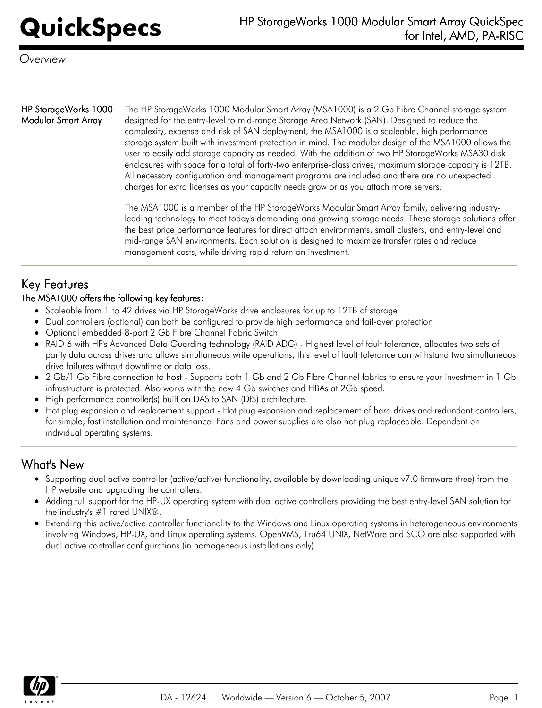*Overview*

## HP StorageWorks 1000 Modular Smart Array

The HP StorageWorks 1000 Modular Smart Array (MSA1000) is a 2 Gb Fibre Channel storage system designed for the entry-level to mid-range Storage Area Network (SAN). Designed to reduce the complexity, expense and risk of SAN deployment, the MSA1000 is a scaleable, high performance storage system built with investment protection in mind. The modular design of the MSA1000 allows the user to easily add storage capacity as needed. With the addition of two HP StorageWorks MSA30 disk enclosures with space for a total of forty-two enterprise-class drives, maximum storage capacity is 12TB. All necessary configuration and management programs are included and there are no unexpected charges for extra licenses as your capacity needs grow or as you attach more servers.

The MSA1000 is a member of the HP StorageWorks Modular Smart Array family, delivering industryleading technology to meet today's demanding and growing storage needs. These storage solutions offer the best price performance features for direct attach environments, small clusters, and entry-level and mid-range SAN environments. Each solution is designed to maximize transfer rates and reduce management costs, while driving rapid return on investment.

# Key Features

## The MSA1000 offers the following key features:

- Scaleable from 1 to 42 drives via HP StorageWorks drive enclosures for up to 12TB of storage
- Dual controllers (optional) can both be configured to provide high performance and fail-over protection  $\bullet$
- Optional embedded 8-port 2 Gb Fibre Channel Fabric Switch
- RAID 6 with HP's Advanced Data Guarding technology (RAID ADG) Highest level of fault tolerance, allocates two sets of parity data across drives and allows simultaneous write operations, this level of fault tolerance can withstand two simultaneous drive failures without downtime or data loss.
- 2 Gb/1 Gb Fibre connection to host Supports both 1 Gb and 2 Gb Fibre Channel fabrics to ensure your investment in 1 Gb infrastructure is protected. Also works with the new 4 Gb switches and HBAs at 2Gb speed.
- High performance controller(s) built on DAS to SAN (DtS) architecture.
- Hot plug expansion and replacement support Hot plug expansion and replacement of hard drives and redundant controllers,  $\bullet$ for simple, fast installation and maintenance. Fans and power supplies are also hot plug replaceable. Dependent on individual operating systems.

## What's New

- Supporting dual active controller (active/active) functionality, available by downloading unique v7.0 firmware (free) from the HP website and upgrading the controllers.
- Adding full support for the HP-UX operating system with dual active controllers providing the best entry-level SAN solution for the industry's #1 rated UNIX®.
- Extending this active/active controller functionality to the Windows and Linux operating systems in heterogeneous environments  $\bullet$ involving Windows, HP-UX, and Linux operating systems. OpenVMS, Tru64 UNIX, NetWare and SCO are also supported with dual active controller configurations (in homogeneous installations only).

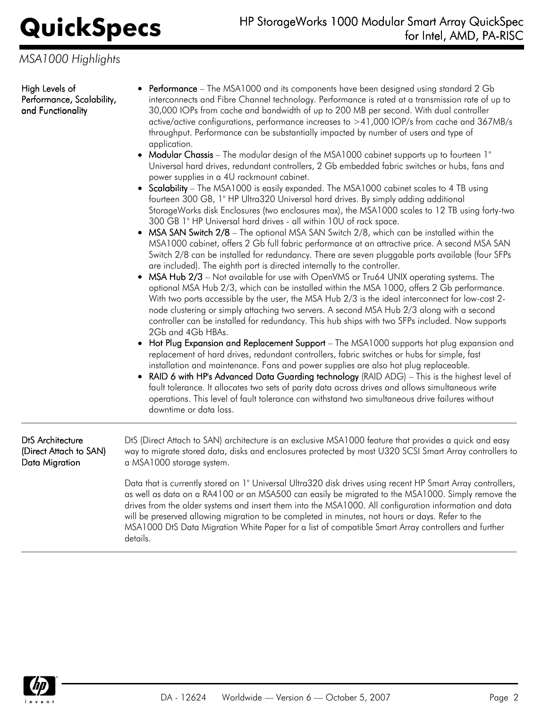*MSA1000 Highlights*

High Levels of Performance, Scalability, and Functionality

- Performance The MSA1000 and its components have been designed using standard 2 Gb interconnects and Fibre Channel technology. Performance is rated at a transmission rate of up to 30,000 IOPs from cache and bandwidth of up to 200 MB per second. With dual controller active/active configurations, performance increases to >41,000 IOP/s from cache and 367MB/s throughput. Performance can be substantially impacted by number of users and type of application.
- Modular Chassis The modular design of the MSA1000 cabinet supports up to fourteen 1" Universal hard drives, redundant controllers, 2 Gb embedded fabric switches or hubs, fans and power supplies in a 4U rackmount cabinet.
- Scalability The MSA1000 is easily expanded. The MSA1000 cabinet scales to 4 TB using fourteen 300 GB, 1" HP Ultra320 Universal hard drives. By simply adding additional StorageWorks disk Enclosures (two enclosures max), the MSA1000 scales to 12 TB using forty-two 300 GB 1" HP Universal hard drives - all within 10U of rack space.
- $\bullet$  MSA SAN Switch 2/8 The optional MSA SAN Switch 2/8, which can be installed within the MSA1000 cabinet, offers 2 Gb full fabric performance at an attractive price. A second MSA SAN Switch 2/8 can be installed for redundancy. There are seven pluggable ports available (four SFPs are included). The eighth port is directed internally to the controller.
- MSA Hub 2/3 Not available for use with OpenVMS or Tru64 UNIX operating systems. The optional MSA Hub 2/3, which can be installed within the MSA 1000, offers 2 Gb performance. With two ports accessible by the user, the MSA Hub 2/3 is the ideal interconnect for low-cost 2 node clustering or simply attaching two servers. A second MSA Hub 2/3 along with a second controller can be installed for redundancy. This hub ships with two SFPs included. Now supports 2Gb and 4Gb HBAs.
- Hot Plug Expansion and Replacement Support The MSA1000 supports hot plug expansion and replacement of hard drives, redundant controllers, fabric switches or hubs for simple, fast installation and maintenance. Fans and power supplies are also hot plug replaceable.
- RAID 6 with HP's Advanced Data Guarding technology (RAID ADG) This is the highest level of fault tolerance. It allocates two sets of parity data across drives and allows simultaneous write operations. This level of fault tolerance can withstand two simultaneous drive failures without downtime or data loss.

DtS Architecture (Direct Attach to SAN) Data Migration

DtS (Direct Attach to SAN) architecture is an exclusive MSA1000 feature that provides a quick and easy way to migrate stored data, disks and enclosures protected by most U320 SCSI Smart Array controllers to a MSA1000 storage system.

Data that is currently stored on 1" Universal Ultra320 disk drives using recent HP Smart Array controllers, as well as data on a RA4100 or an MSA500 can easily be migrated to the MSA1000. Simply remove the drives from the older systems and insert them into the MSA1000. All configuration information and data will be preserved allowing migration to be completed in minutes, not hours or days. Refer to the MSA1000 DtS Data Migration White Paper for a list of compatible Smart Array controllers and further details.

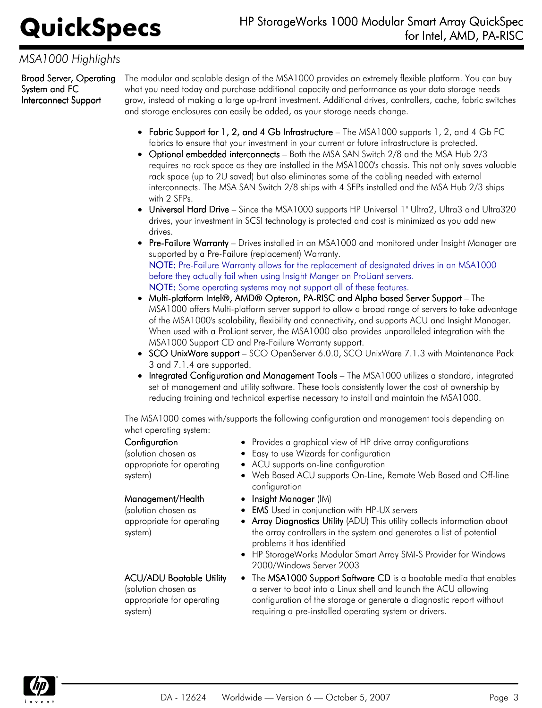## *MSA1000 Highlights*

Broad Server, Operating System and FC Interconnect Support

The modular and scalable design of the MSA1000 provides an extremely flexible platform. You can buy what you need today and purchase additional capacity and performance as your data storage needs grow, instead of making a large up-front investment. Additional drives, controllers, cache, fabric switches and storage enclosures can easily be added, as your storage needs change.

- Fabric Support for 1, 2, and 4 Gb Infrastructure The MSA1000 supports 1, 2, and 4 Gb FC fabrics to ensure that your investment in your current or future infrastructure is protected.
- Optional embedded interconnects Both the MSA SAN Switch 2/8 and the MSA Hub 2/3 requires no rack space as they are installed in the MSA1000's chassis. This not only saves valuable rack space (up to 2U saved) but also eliminates some of the cabling needed with external interconnects. The MSA SAN Switch 2/8 ships with 4 SFPs installed and the MSA Hub 2/3 ships with 2 SFPs.
- Universal Hard Drive Since the MSA1000 supports HP Universal 1" Ultra2, Ultra3 and Ultra320 drives, your investment in SCSI technology is protected and cost is minimized as you add new drives.
- Pre-Failure Warranty Drives installed in an MSA1000 and monitored under Insight Manager are supported by a Pre-Failure (replacement) Warranty. NOTE: Pre-Failure Warranty allows for the replacement of designated drives in an MSA1000 before they actually fail when using Insight Manger on ProLiant servers. NOTE: Some operating systems may not support all of these features.
- Multi-platform Intel®, AMD® Opteron, PA-RISC and Alpha based Server Support The MSA1000 offers Multi-platform server support to allow a broad range of servers to take advantage of the MSA1000's scalability, flexibility and connectivity, and supports ACU and Insight Manager. When used with a ProLiant server, the MSA1000 also provides unparalleled integration with the MSA1000 Support CD and Pre-Failure Warranty support.
- SCO UnixWare support SCO OpenServer 6.0.0, SCO UnixWare 7.1.3 with Maintenance Pack 3 and 7.1.4 are supported.
- Integrated Configuration and Management Tools The MSA1000 utilizes a standard, integrated set of management and utility software. These tools consistently lower the cost of ownership by reducing training and technical expertise necessary to install and maintain the MSA1000.

The MSA1000 comes with/supports the following configuration and management tools depending on what operating system:

## **Configuration**

(solution chosen as appropriate for operating system)

### Management/Health

(solution chosen as appropriate for operating system)

## ACU/ADU Bootable Utility

(solution chosen as appropriate for operating system)

- Provides a graphical view of HP drive array configurations
- Easy to use Wizards for configuration
- ACU supports on-line configuration
- Web Based ACU supports On-Line, Remote Web Based and Off-line configuration
- Insight Manager (IM)
- **EMS** Used in conjunction with HP-UX servers
- **Array Diagnostics Utility** (ADU) This utility collects information about the array controllers in the system and generates a list of potential problems it has identified
- HP StorageWorks Modular Smart Array SMI-S Provider for Windows 2000/Windows Server 2003
- The MSA1000 Support Software CD is a bootable media that enables a server to boot into a Linux shell and launch the ACU allowing configuration of the storage or generate a diagnostic report without requiring a pre-installed operating system or drivers.

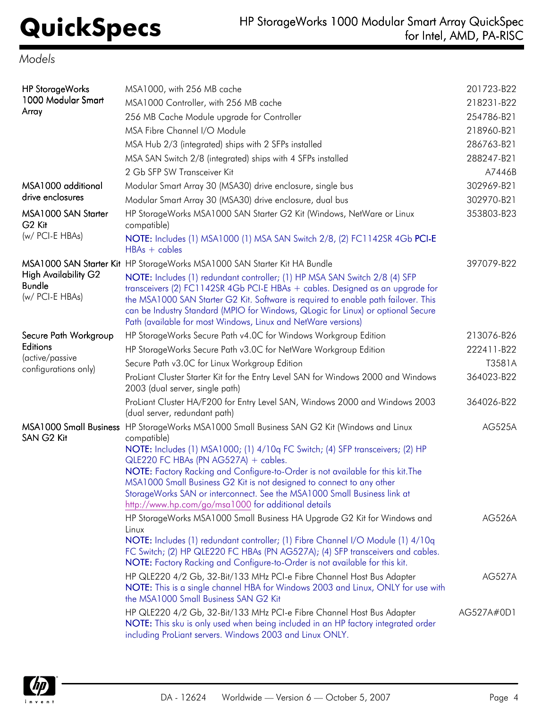## *Models*

| <b>HP StorageWorks</b><br>1000 Modular Smart<br>Array           | MSA1000, with 256 MB cache<br>MSA1000 Controller, with 256 MB cache<br>256 MB Cache Module upgrade for Controller<br>MSA Fibre Channel I/O Module<br>MSA Hub 2/3 (integrated) ships with 2 SFPs installed<br>MSA SAN Switch 2/8 (integrated) ships with 4 SFPs installed<br>2 Gb SFP SW Transceiver Kit                                                                                                                                                                                                                            | 201723-B22<br>218231-B22<br>254786-B21<br>218960-B21<br>286763-B21<br>288247-B21<br>A7446B |
|-----------------------------------------------------------------|------------------------------------------------------------------------------------------------------------------------------------------------------------------------------------------------------------------------------------------------------------------------------------------------------------------------------------------------------------------------------------------------------------------------------------------------------------------------------------------------------------------------------------|--------------------------------------------------------------------------------------------|
| MSA1000 additional                                              | Modular Smart Array 30 (MSA30) drive enclosure, single bus                                                                                                                                                                                                                                                                                                                                                                                                                                                                         | 302969-B21                                                                                 |
| drive enclosures                                                | Modular Smart Array 30 (MSA30) drive enclosure, dual bus                                                                                                                                                                                                                                                                                                                                                                                                                                                                           | 302970-B21                                                                                 |
| MSA1000 SAN Starter<br>G <sub>2</sub> Kit                       | HP StorageWorks MSA1000 SAN Starter G2 Kit (Windows, NetWare or Linux<br>compatible)                                                                                                                                                                                                                                                                                                                                                                                                                                               | 353803-B23                                                                                 |
| (w/ PCI-E HBAs)                                                 | NOTE: Includes (1) MSA1000 (1) MSA SAN Switch 2/8, (2) FC1142SR 4Gb PCI-E<br>$HBAs + cables$                                                                                                                                                                                                                                                                                                                                                                                                                                       |                                                                                            |
| <b>High Availability G2</b><br><b>Bundle</b><br>(w/ PCI-E HBAs) | MSA1000 SAN Starter Kit HP StorageWorks MSA1000 SAN Starter Kit HA Bundle<br>NOTE: Includes (1) redundant controller; (1) HP MSA SAN Switch 2/8 (4) SFP<br>transceivers (2) FC1142SR 4Gb PCI-E HBAs + cables. Designed as an upgrade for<br>the MSA1000 SAN Starter G2 Kit. Software is required to enable path failover. This<br>can be Industry Standard (MPIO for Windows, QLogic for Linux) or optional Secure<br>Path (available for most Windows, Linux and NetWare versions)                                                | 397079-B22                                                                                 |
| Secure Path Workgroup                                           | HP StorageWorks Secure Path v4.0C for Windows Workgroup Edition                                                                                                                                                                                                                                                                                                                                                                                                                                                                    | 213076-B26                                                                                 |
| Editions                                                        | HP StorageWorks Secure Path v3.0C for NetWare Workgroup Edition                                                                                                                                                                                                                                                                                                                                                                                                                                                                    | 222411-B22                                                                                 |
| (active/passive                                                 | Secure Path v3.0C for Linux Workgroup Edition                                                                                                                                                                                                                                                                                                                                                                                                                                                                                      | T3581A                                                                                     |
| configurations only)                                            | ProLiant Cluster Starter Kit for the Entry Level SAN for Windows 2000 and Windows<br>2003 (dual server, single path)                                                                                                                                                                                                                                                                                                                                                                                                               | 364023-B22                                                                                 |
|                                                                 | ProLiant Cluster HA/F200 for Entry Level SAN, Windows 2000 and Windows 2003<br>(dual server, redundant path)                                                                                                                                                                                                                                                                                                                                                                                                                       | 364026-B22                                                                                 |
| SAN G2 Kit                                                      | MSA1000 Small Business HP StorageWorks MSA1000 Small Business SAN G2 Kit (Windows and Linux<br>compatible)<br>NOTE: Includes (1) MSA1000; (1) 4/10q FC Switch; (4) SFP transceivers; (2) HP<br>QLE220 FC HBAs (PN AG527A) + cables.<br>NOTE: Factory Racking and Configure-to-Order is not available for this kit. The<br>MSA1000 Small Business G2 Kit is not designed to connect to any other<br>StorageWorks SAN or interconnect. See the MSA1000 Small Business link at<br>http://www.hp.com/go/msa1000 for additional details | <b>AG525A</b>                                                                              |
|                                                                 | HP StorageWorks MSA1000 Small Business HA Upgrade G2 Kit for Windows and<br>Linux<br>NOTE: Includes (1) redundant controller; (1) Fibre Channel I/O Module (1) 4/10q<br>FC Switch; (2) HP QLE220 FC HBAs (PN AG527A); (4) SFP transceivers and cables.<br>NOTE: Factory Racking and Configure-to-Order is not available for this kit.                                                                                                                                                                                              | <b>AG526A</b>                                                                              |
|                                                                 | HP QLE220 4/2 Gb, 32-Bit/133 MHz PCI-e Fibre Channel Host Bus Adapter<br>NOTE: This is a single channel HBA for Windows 2003 and Linux, ONLY for use with<br>the MSA1000 Small Business SAN G2 Kit                                                                                                                                                                                                                                                                                                                                 | <b>AG527A</b>                                                                              |
|                                                                 | HP QLE220 4/2 Gb, 32-Bit/133 MHz PCI-e Fibre Channel Host Bus Adapter<br>NOTE: This sku is only used when being included in an HP factory integrated order<br>including ProLiant servers. Windows 2003 and Linux ONLY.                                                                                                                                                                                                                                                                                                             | AG527A#0D1                                                                                 |

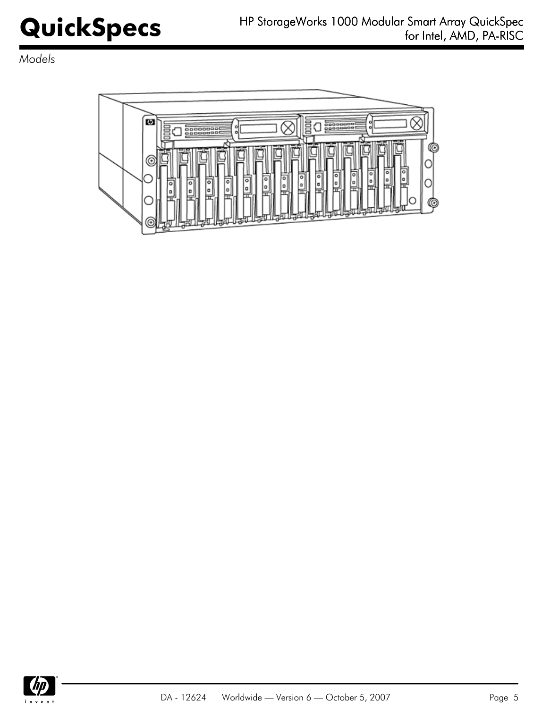*Models*



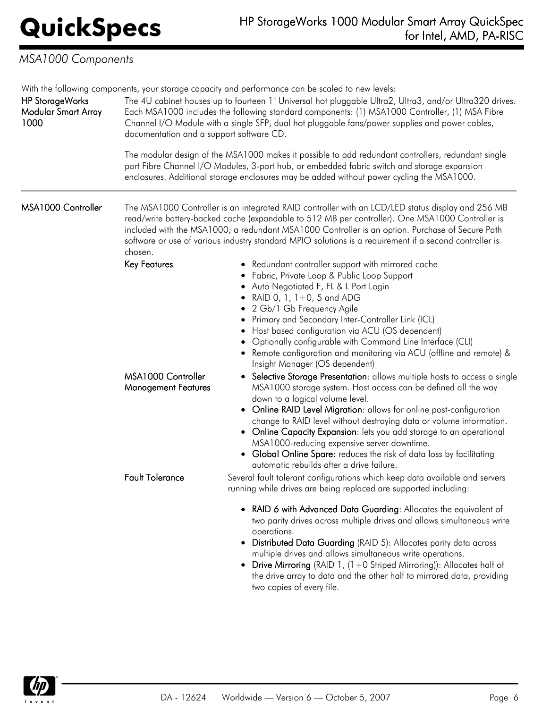# *MSA1000 Components*

With the following components, your storage capacity and performance can be scaled to new levels:

| <b>HP StorageWorks</b>      | With the following components, your storage capacity and performance can be scaled to new levels:<br>The 4U cabinet houses up to fourteen 1" Universal hot pluggable Ultra2, Ultra3, and/or Ultra320 drives.                                 |                                                                                                                                                                                                                                                                                                                                                                                                                                                                                                                                                                          |  |
|-----------------------------|----------------------------------------------------------------------------------------------------------------------------------------------------------------------------------------------------------------------------------------------|--------------------------------------------------------------------------------------------------------------------------------------------------------------------------------------------------------------------------------------------------------------------------------------------------------------------------------------------------------------------------------------------------------------------------------------------------------------------------------------------------------------------------------------------------------------------------|--|
| Modular Smart Array<br>1000 | Each MSA1000 includes the following standard components: (1) MSA1000 Controller, (1) MSA Fibre<br>Channel I/O Module with a single SFP, dual hot pluggable fans/power supplies and power cables,<br>documentation and a support software CD. |                                                                                                                                                                                                                                                                                                                                                                                                                                                                                                                                                                          |  |
|                             |                                                                                                                                                                                                                                              | The modular design of the MSA1000 makes it possible to add redundant controllers, redundant single<br>port Fibre Channel I/O Modules, 3-port hub, or embedded fabric switch and storage expansion<br>enclosures. Additional storage enclosures may be added without power cycling the MSA1000.                                                                                                                                                                                                                                                                           |  |
| MSA1000 Controller          | chosen.                                                                                                                                                                                                                                      | The MSA1000 Controller is an integrated RAID controller with an LCD/LED status display and 256 MB<br>read/write battery-backed cache (expandable to 512 MB per controller). One MSA1000 Controller is<br>included with the MSA1000; a redundant MSA1000 Controller is an option. Purchase of Secure Path<br>software or use of various industry standard MPIO solutions is a requirement if a second controller is                                                                                                                                                       |  |
|                             | Key Features                                                                                                                                                                                                                                 | • Redundant controller support with mirrored cache<br>• Fabric, Private Loop & Public Loop Support<br>• Auto Negotiated F, FL & L Port Login<br>RAID 0, 1, 1+0, 5 and ADG<br>2 Gb/1 Gb Frequency Agile<br>٠<br>Primary and Secondary Inter-Controller Link (ICL)<br>Host based configuration via ACU (OS dependent)<br>Optionally configurable with Command Line Interface (CLI)<br>• Remote configuration and monitoring via ACU (offline and remote) &<br>Insight Manager (OS dependent)                                                                               |  |
|                             | MSA1000 Controller<br><b>Management Features</b>                                                                                                                                                                                             | • Selective Storage Presentation: allows multiple hosts to access a single<br>MSA1000 storage system. Host access can be defined all the way<br>down to a logical volume level.<br>• Online RAID Level Migration: allows for online post-configuration<br>change to RAID level without destroying data or volume information.<br>• Online Capacity Expansion: lets you add storage to an operational<br>MSA1000-reducing expensive server downtime.<br>• Global Online Spare: reduces the risk of data loss by facilitating<br>automatic rebuilds after a drive failure. |  |
|                             | <b>Fault Tolerance</b>                                                                                                                                                                                                                       | Several fault tolerant configurations which keep data available and servers<br>running while drives are being replaced are supported including:                                                                                                                                                                                                                                                                                                                                                                                                                          |  |
|                             |                                                                                                                                                                                                                                              | RAID 6 with Advanced Data Guarding: Allocates the equivalent of<br>two parity drives across multiple drives and allows simultaneous write<br>operations.<br>Distributed Data Guarding (RAID 5): Allocates parity data across<br>multiple drives and allows simultaneous write operations.<br>Drive Mirroring (RAID 1, (1+0 Striped Mirroring)): Allocates half of<br>٠<br>the drive array to data and the other half to mirrored data, providing<br>two copies of every file.                                                                                            |  |

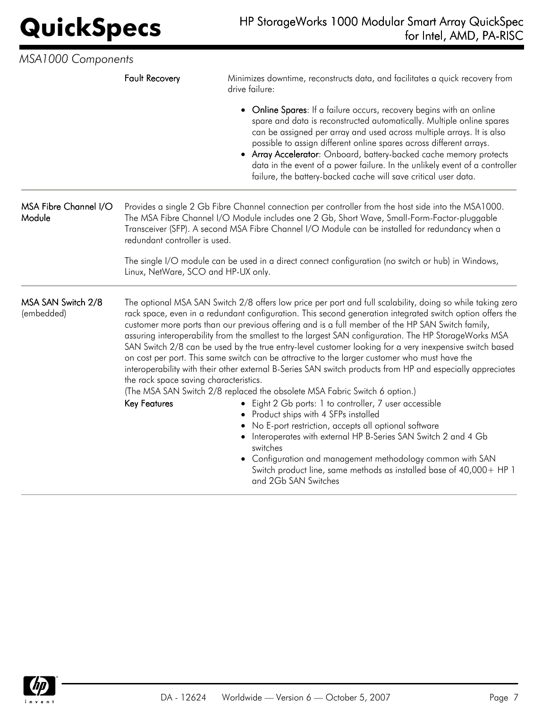| MSA1000 Components               |                                                               |                                                                                                                                                                                                                                                                                                                                                                                                                                                                                                                                                                                                                                                                                                                                                                                                                                                                                                                                                                                                                                                                                                                                                                                                                                                                        |  |
|----------------------------------|---------------------------------------------------------------|------------------------------------------------------------------------------------------------------------------------------------------------------------------------------------------------------------------------------------------------------------------------------------------------------------------------------------------------------------------------------------------------------------------------------------------------------------------------------------------------------------------------------------------------------------------------------------------------------------------------------------------------------------------------------------------------------------------------------------------------------------------------------------------------------------------------------------------------------------------------------------------------------------------------------------------------------------------------------------------------------------------------------------------------------------------------------------------------------------------------------------------------------------------------------------------------------------------------------------------------------------------------|--|
|                                  | <b>Fault Recovery</b>                                         | Minimizes downtime, reconstructs data, and facilitates a quick recovery from<br>drive failure:                                                                                                                                                                                                                                                                                                                                                                                                                                                                                                                                                                                                                                                                                                                                                                                                                                                                                                                                                                                                                                                                                                                                                                         |  |
|                                  |                                                               | • Online Spares: If a failure occurs, recovery begins with an online<br>spare and data is reconstructed automatically. Multiple online spares<br>can be assigned per array and used across multiple arrays. It is also<br>possible to assign different online spares across different arrays.<br>• Array Accelerator: Onboard, battery-backed cache memory protects<br>data in the event of a power failure. In the unlikely event of a controller<br>failure, the battery-backed cache will save critical user data.                                                                                                                                                                                                                                                                                                                                                                                                                                                                                                                                                                                                                                                                                                                                                  |  |
| MSA Fibre Channel I/O<br>Module  | redundant controller is used.                                 | Provides a single 2 Gb Fibre Channel connection per controller from the host side into the MSA1000.<br>The MSA Fibre Channel I/O Module includes one 2 Gb, Short Wave, Small-Form-Factor-pluggable<br>Transceiver (SFP). A second MSA Fibre Channel I/O Module can be installed for redundancy when a                                                                                                                                                                                                                                                                                                                                                                                                                                                                                                                                                                                                                                                                                                                                                                                                                                                                                                                                                                  |  |
|                                  | Linux, NetWare, SCO and HP-UX only.                           | The single I/O module can be used in a direct connect configuration (no switch or hub) in Windows,                                                                                                                                                                                                                                                                                                                                                                                                                                                                                                                                                                                                                                                                                                                                                                                                                                                                                                                                                                                                                                                                                                                                                                     |  |
| MSA SAN Switch 2/8<br>(embedded) | the rack space saving characteristics.<br><b>Key Features</b> | The optional MSA SAN Switch 2/8 offers low price per port and full scalability, doing so while taking zero<br>rack space, even in a redundant configuration. This second generation integrated switch option offers the<br>customer more ports than our previous offering and is a full member of the HP SAN Switch family,<br>assuring interoperability from the smallest to the largest SAN configuration. The HP StorageWorks MSA<br>SAN Switch 2/8 can be used by the true entry-level customer looking for a very inexpensive switch based<br>on cost per port. This same switch can be attractive to the larger customer who must have the<br>interoperability with their other external B-Series SAN switch products from HP and especially appreciates<br>(The MSA SAN Switch 2/8 replaced the obsolete MSA Fabric Switch 6 option.)<br>Eight 2 Gb ports: 1 to controller, 7 user accessible<br>$\bullet$<br>Product ships with 4 SFPs installed<br>No E-port restriction, accepts all optional software<br>Interoperates with external HP B-Series SAN Switch 2 and 4 Gb<br>switches<br>Configuration and management methodology common with SAN<br>$\bullet$<br>Switch product line, same methods as installed base of 40,000 + HP 1<br>and 2Gb SAN Switches |  |

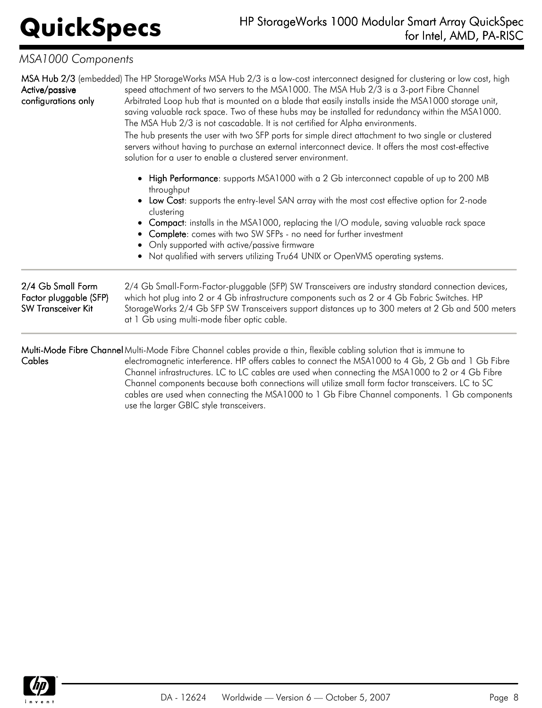## *MSA1000 Components*

| Active/passive<br>configurations only                                    | MSA Hub 2/3 (embedded) The HP StorageWorks MSA Hub 2/3 is a low-cost interconnect designed for clustering or low cost, high<br>speed attachment of two servers to the MSA1000. The MSA Hub 2/3 is a 3-port Fibre Channel<br>Arbitrated Loop hub that is mounted on a blade that easily installs inside the MSA1000 storage unit,<br>saving valuable rack space. Two of these hubs may be installed for redundancy within the MSA1000.<br>The MSA Hub 2/3 is not cascadable. It is not certified for Alpha environments.<br>The hub presents the user with two SFP ports for simple direct attachment to two single or clustered<br>servers without having to purchase an external interconnect device. It offers the most cost-effective<br>solution for a user to enable a clustered server environment. |
|--------------------------------------------------------------------------|-----------------------------------------------------------------------------------------------------------------------------------------------------------------------------------------------------------------------------------------------------------------------------------------------------------------------------------------------------------------------------------------------------------------------------------------------------------------------------------------------------------------------------------------------------------------------------------------------------------------------------------------------------------------------------------------------------------------------------------------------------------------------------------------------------------|
|                                                                          | High Performance: supports MSA1000 with a 2 Gb interconnect capable of up to 200 MB<br>throughput                                                                                                                                                                                                                                                                                                                                                                                                                                                                                                                                                                                                                                                                                                         |
|                                                                          | Low Cost: supports the entry-level SAN array with the most cost effective option for 2-node<br>clustering<br>• Compact: installs in the MSA1000, replacing the I/O module, saving valuable rack space<br>• Complete: comes with two SW SFPs - no need for further investment<br>Only supported with active/passive firmware                                                                                                                                                                                                                                                                                                                                                                                                                                                                               |
|                                                                          | Not qualified with servers utilizing Tru64 UNIX or OpenVMS operating systems.                                                                                                                                                                                                                                                                                                                                                                                                                                                                                                                                                                                                                                                                                                                             |
| 2/4 Gb Small Form<br>Factor pluggable (SFP)<br><b>SW Transceiver Kit</b> | 2/4 Gb Small-Form-Factor-pluggable (SFP) SW Transceivers are industry standard connection devices,<br>which hot plug into 2 or 4 Gb infrastructure components such as 2 or 4 Gb Fabric Switches. HP<br>StorageWorks 2/4 Gb SFP SW Transceivers support distances up to 300 meters at 2 Gb and 500 meters<br>at 1 Gb using multi-mode fiber optic cable.                                                                                                                                                                                                                                                                                                                                                                                                                                                   |
| Cables                                                                   | Multi-Mode Fibre Channel Multi-Mode Fibre Channel cables provide a thin, flexible cabling solution that is immune to<br>electromagnetic interference. HP offers cables to connect the MSA1000 to 4 Gb, 2 Gb and 1 Gb Fibre<br>Channel infrastructures. LC to LC cables are used when connecting the MSA1000 to 2 or 4 Gb Fibre                                                                                                                                                                                                                                                                                                                                                                                                                                                                            |

Channel infrastructures. LC to LC cables are used when connecting the MSA1000 to 2 or 4 Gb Fibre Channel components because both connections will utilize small form factor transceivers. LC to SC cables are used when connecting the MSA1000 to 1 Gb Fibre Channel components. 1 Gb components use the larger GBIC style transceivers.

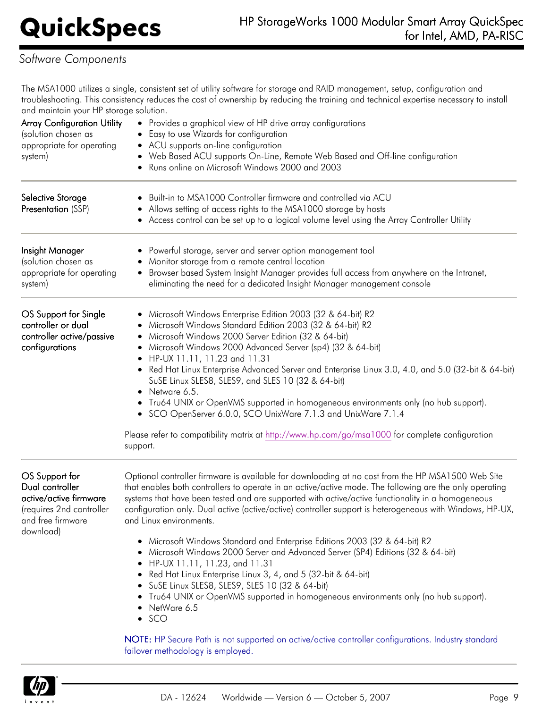## *Software Components*

The MSA1000 utilizes a single, consistent set of utility software for storage and RAID management, setup, configuration and troubleshooting. This consistency reduces the cost of ownership by reducing the training and technical expertise necessary to install and maintain your HP storage solution.

| <b>Array Configuration Utility</b><br>(solution chosen as<br>appropriate for operating<br>system) | • Provides a graphical view of HP drive array configurations<br>Easy to use Wizards for configuration<br>• ACU supports on-line configuration<br>• Web Based ACU supports On-Line, Remote Web Based and Off-line configuration<br>Runs online on Microsoft Windows 2000 and 2003                                                                                                                                                                                                                                                                                                                                                                                                                                                           |
|---------------------------------------------------------------------------------------------------|--------------------------------------------------------------------------------------------------------------------------------------------------------------------------------------------------------------------------------------------------------------------------------------------------------------------------------------------------------------------------------------------------------------------------------------------------------------------------------------------------------------------------------------------------------------------------------------------------------------------------------------------------------------------------------------------------------------------------------------------|
| Selective Storage<br>Presentation (SSP)                                                           | Built-in to MSA1000 Controller firmware and controlled via ACU<br>• Allows setting of access rights to the MSA1000 storage by hosts<br>• Access control can be set up to a logical volume level using the Array Controller Utility                                                                                                                                                                                                                                                                                                                                                                                                                                                                                                         |
| Insight Manager<br>(solution chosen as<br>appropriate for operating<br>system)                    | Powerful storage, server and server option management tool<br>Monitor storage from a remote central location<br>Browser based System Insight Manager provides full access from anywhere on the Intranet,<br>$\bullet$<br>eliminating the need for a dedicated Insight Manager management console                                                                                                                                                                                                                                                                                                                                                                                                                                           |
| OS Support for Single<br>controller or dual<br>controller active/passive<br>configurations        | Microsoft Windows Enterprise Edition 2003 (32 & 64-bit) R2<br>Microsoft Windows Standard Edition 2003 (32 & 64-bit) R2<br>Microsoft Windows 2000 Server Edition (32 & 64-bit)<br>٠<br>Microsoft Windows 2000 Advanced Server (sp4) (32 & 64-bit)<br>• HP-UX 11.11, 11.23 and 11.31<br>Red Hat Linux Enterprise Advanced Server and Enterprise Linux 3.0, 4.0, and 5.0 (32-bit & 64-bit)<br>٠<br>SuSE Linux SLES8, SLES9, and SLES 10 (32 & 64-bit)<br>Netware 6.5.<br>• Tru64 UNIX or OpenVMS supported in homogeneous environments only (no hub support).<br>• SCO OpenServer 6.0.0, SCO UnixWare 7.1.3 and UnixWare 7.1.4<br>Please refer to compatibility matrix at http://www.hp.com/go/msa1000 for complete configuration<br>support. |
| OS Support for<br>Dual controller                                                                 | Optional controller firmware is available for downloading at no cost from the HP MSA1500 Web Site<br>that enables both controllers to operate in an active/active mode. The following are the only operating                                                                                                                                                                                                                                                                                                                                                                                                                                                                                                                               |

active/active firmware (requires 2nd controller and free firmware download)

systems that have been tested and are supported with active/active functionality in a homogeneous configuration only. Dual active (active/active) controller support is heterogeneous with Windows, HP-UX, and Linux environments.

- Microsoft Windows Standard and Enterprise Editions 2003 (32 & 64-bit) R2
- Microsoft Windows 2000 Server and Advanced Server (SP4) Editions (32 & 64-bit)
- HP-UX 11.11, 11.23, and 11.31
- Red Hat Linux Enterprise Linux 3, 4, and 5 (32-bit & 64-bit)
- SuSE Linux SLES8, SLES9, SLES 10 (32 & 64-bit)
- Tru64 UNIX or OpenVMS supported in homogeneous environments only (no hub support).
- NetWare 6.5
- $\bullet$  SCO

NOTE: HP Secure Path is not supported on active/active controller configurations. Industry standard failover methodology is employed.

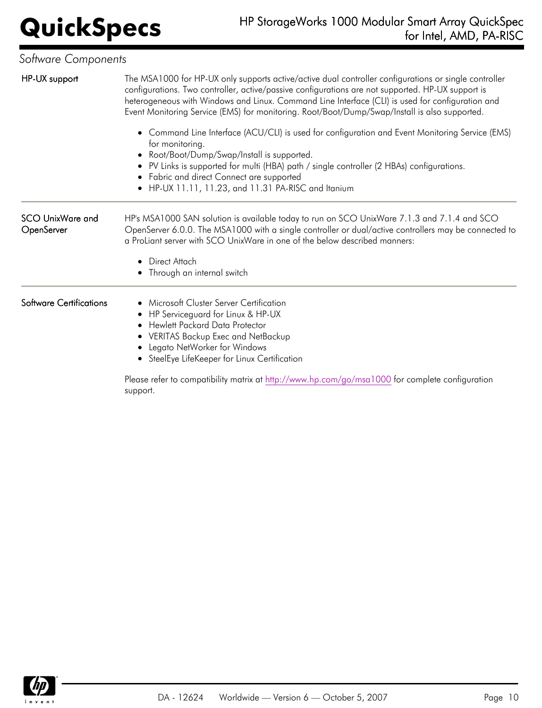| Software Components                                                                                                                                                                                                                                                                                                                                                                                             |  |  |  |
|-----------------------------------------------------------------------------------------------------------------------------------------------------------------------------------------------------------------------------------------------------------------------------------------------------------------------------------------------------------------------------------------------------------------|--|--|--|
| The MSA1000 for HP-UX only supports active/active dual controller configurations or single controller<br>configurations. Two controller, active/passive configurations are not supported. HP-UX support is<br>heterogeneous with Windows and Linux. Command Line Interface (CLI) is used for configuration and<br>Event Monitoring Service (EMS) for monitoring. Root/Boot/Dump/Swap/Install is also supported. |  |  |  |
| • Command Line Interface (ACU/CLI) is used for configuration and Event Monitoring Service (EMS)<br>for monitoring.<br>Root/Boot/Dump/Swap/Install is supported.<br>• PV Links is supported for multi (HBA) path / single controller (2 HBAs) configurations.<br>• Fabric and direct Connect are supported<br>• HP-UX 11.11, 11.23, and 11.31 PA-RISC and Itanium                                                |  |  |  |
| HP's MSA1000 SAN solution is available today to run on SCO UnixWare 7.1.3 and 7.1.4 and SCO<br>OpenServer 6.0.0. The MSA1000 with a single controller or dual/active controllers may be connected to<br>a ProLiant server with SCO UnixWare in one of the below described manners:                                                                                                                              |  |  |  |
| • Direct Attach<br>• Through an internal switch                                                                                                                                                                                                                                                                                                                                                                 |  |  |  |
| Microsoft Cluster Server Certification<br>• HP Serviceguard for Linux & HP-UX<br>• Hewlett Packard Data Protector<br>• VERITAS Backup Exec and NetBackup<br>Legato NetWorker for Windows<br>• SteelEye LifeKeeper for Linux Certification<br>Please refer to compatibility matrix at http://www.hp.com/go/msa1000 for complete configuration                                                                    |  |  |  |
|                                                                                                                                                                                                                                                                                                                                                                                                                 |  |  |  |

support.

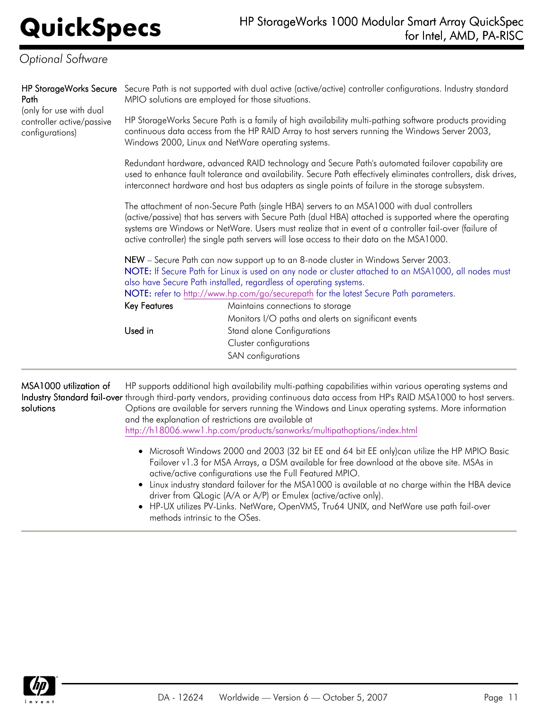| Path                                                                    | HP StorageWorks Secure Secure Path is not supported with dual active (active/active) controller configurations. Industry standard<br>MPIO solutions are employed for those situations.                                                                                                                                                                                                                       |                                                                                                                                                                                                                                                                                                                                                         |  |
|-------------------------------------------------------------------------|--------------------------------------------------------------------------------------------------------------------------------------------------------------------------------------------------------------------------------------------------------------------------------------------------------------------------------------------------------------------------------------------------------------|---------------------------------------------------------------------------------------------------------------------------------------------------------------------------------------------------------------------------------------------------------------------------------------------------------------------------------------------------------|--|
| (only for use with dual<br>controller active/passive<br>configurations) |                                                                                                                                                                                                                                                                                                                                                                                                              | HP StorageWorks Secure Path is a family of high availability multi-pathing software products providing<br>continuous data access from the HP RAID Array to host servers running the Windows Server 2003,<br>Windows 2000, Linux and NetWare operating systems.                                                                                          |  |
|                                                                         | Redundant hardware, advanced RAID technology and Secure Path's automated failover capability are<br>used to enhance fault tolerance and availability. Secure Path effectively eliminates controllers, disk drives,<br>interconnect hardware and host bus adapters as single points of failure in the storage subsystem.                                                                                      |                                                                                                                                                                                                                                                                                                                                                         |  |
|                                                                         | The attachment of non-Secure Path (single HBA) servers to an MSA1000 with dual controllers<br>(active/passive) that has servers with Secure Path (dual HBA) attached is supported where the operating<br>systems are Windows or NetWare. Users must realize that in event of a controller fail-over (failure of<br>active controller) the single path servers will lose access to their data on the MSA1000. |                                                                                                                                                                                                                                                                                                                                                         |  |
|                                                                         | Key Features                                                                                                                                                                                                                                                                                                                                                                                                 | NEW – Secure Path can now support up to an 8-node cluster in Windows Server 2003.<br>NOTE: If Secure Path for Linux is used on any node or cluster attached to an MSA1000, all nodes must<br>also have Secure Path installed, regardless of operating systems.<br>NOTE: refer to http://www.hp.com/go/securepath for the latest Secure Path parameters. |  |
|                                                                         |                                                                                                                                                                                                                                                                                                                                                                                                              | Maintains connections to storage<br>Monitors I/O paths and alerts on significant events                                                                                                                                                                                                                                                                 |  |
|                                                                         | Used in                                                                                                                                                                                                                                                                                                                                                                                                      | <b>Stand alone Configurations</b>                                                                                                                                                                                                                                                                                                                       |  |
|                                                                         |                                                                                                                                                                                                                                                                                                                                                                                                              | Cluster configurations                                                                                                                                                                                                                                                                                                                                  |  |
|                                                                         |                                                                                                                                                                                                                                                                                                                                                                                                              | SAN configurations                                                                                                                                                                                                                                                                                                                                      |  |
|                                                                         |                                                                                                                                                                                                                                                                                                                                                                                                              |                                                                                                                                                                                                                                                                                                                                                         |  |

MSA1000 utilization of **Industry Standard fail-over** through third-party vendors, providing continuous data access from HP's RAID MSA1000 to host servers. solutions HP supports additional high availability multi-pathing capabilities within various operating systems and Options are available for servers running the Windows and Linux operating systems. More information and the explanation of restrictions are available at <http://h18006.www1.hp.com/products/sanworks/multipathoptions/index.html>

- Microsoft Windows 2000 and 2003 (32 bit EE and 64 bit EE only)can utilize the HP MPIO Basic Failover v1.3 for MSA Arrays, a DSM available for free download at the above site. MSAs in active/active configurations use the Full Featured MPIO.
- Linux industry standard failover for the MSA1000 is available at no charge within the HBA device driver from QLogic (A/A or A/P) or Emulex (active/active only).
- HP-UX utilizes PV-Links. NetWare, OpenVMS, Tru64 UNIX, and NetWare use path fail-over methods intrinsic to the OSes.

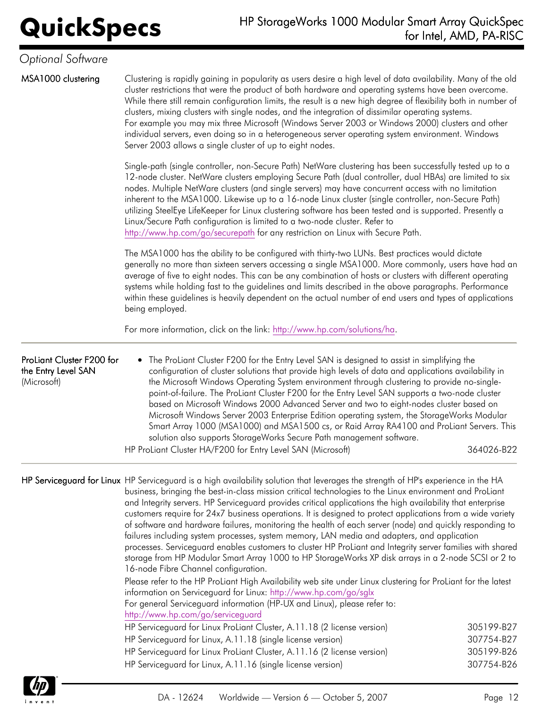MSA1000 clustering Clustering is rapidly gaining in popularity as users desire a high level of data availability. Many of the old cluster restrictions that were the product of both hardware and operating systems have been overcome. While there still remain configuration limits, the result is a new high degree of flexibility both in number of clusters, mixing clusters with single nodes, and the integration of dissimilar operating systems. For example you may mix three Microsoft (Windows Server 2003 or Windows 2000) clusters and other individual servers, even doing so in a heterogeneous server operating system environment. Windows Server 2003 allows a single cluster of up to eight nodes.

> Single-path (single controller, non-Secure Path) NetWare clustering has been successfully tested up to a 12-node cluster. NetWare clusters employing Secure Path (dual controller, dual HBAs) are limited to six nodes. Multiple NetWare clusters (and single servers) may have concurrent access with no limitation inherent to the MSA1000. Likewise up to a 16-node Linux cluster (single controller, non-Secure Path) utilizing SteelEye LifeKeeper for Linux clustering software has been tested and is supported. Presently a Linux/Secure Path configuration is limited to a two-node cluster. Refer to <http://www.hp.com/go/securepath> for any restriction on Linux with Secure Path.

The MSA1000 has the ability to be configured with thirty-two LUNs. Best practices would dictate generally no more than sixteen servers accessing a single MSA1000. More commonly, users have had an average of five to eight nodes. This can be any combination of hosts or clusters with different operating systems while holding fast to the guidelines and limits described in the above paragraphs. Performance within these guidelines is heavily dependent on the actual number of end users and types of applications being employed.

For more information, click on the link: [http://www.hp.com/solutions/ha.](http://www.hp.com/solutions/ha)

### ProLiant Cluster F200 for the Entry Level SAN (Microsoft) • The ProLiant Cluster F200 for the Entry Level SAN is designed to assist in simplifying the configuration of cluster solutions that provide high levels of data and applications availability in the Microsoft Windows Operating System environment through clustering to provide no-singlepoint-of-failure. The ProLiant Cluster F200 for the Entry Level SAN supports a two-node cluster based on Microsoft Windows 2000 Advanced Server and two to eight-nodes cluster based on Microsoft Windows Server 2003 Enterprise Edition operating system, the StorageWorks Modular Smart Array 1000 (MSA1000) and MSA1500 cs, or Raid Array RA4100 and ProLiant Servers. This solution also supports StorageWorks Secure Path management software. HP ProLiant Cluster HA/F200 for Entry Level SAN (Microsoft) 364026-B22

HP Serviceguard for Linux HP Serviceguard is a high availability solution that leverages the strength of HP's experience in the HA business, bringing the best-in-class mission critical technologies to the Linux environment and ProLiant and Integrity servers. HP Serviceguard provides critical applications the high availability that enterprise customers require for 24x7 business operations. It is designed to protect applications from a wide variety of software and hardware failures, monitoring the health of each server (node) and quickly responding to failures including system processes, system memory, LAN media and adapters, and application processes. Serviceguard enables customers to cluster HP ProLiant and Integrity server families with shared storage from HP Modular Smart Array 1000 to HP StorageWorks XP disk arrays in a 2-node SCSI or 2 to 16-node Fibre Channel configuration. Please refer to the HP ProLiant High Availability web site under Linux clustering for ProLiant for the latest information on Serviceguard for Linux:<http://www.hp.com/go/sglx> For general Serviceguard information (HP-UX and Linux), please refer to: <http://www.hp.com/go/serviceguard> HP Serviceguard for Linux ProLiant Cluster, A.11.18 (2 license version) 305199-B27 HP Serviceguard for Linux, A.11.18 (single license version) 307754-B27

HP Serviceguard for Linux ProLiant Cluster, A.11.16 (2 license version) 305199-B26 HP Serviceguard for Linux, A.11.16 (single license version) 307754-B26

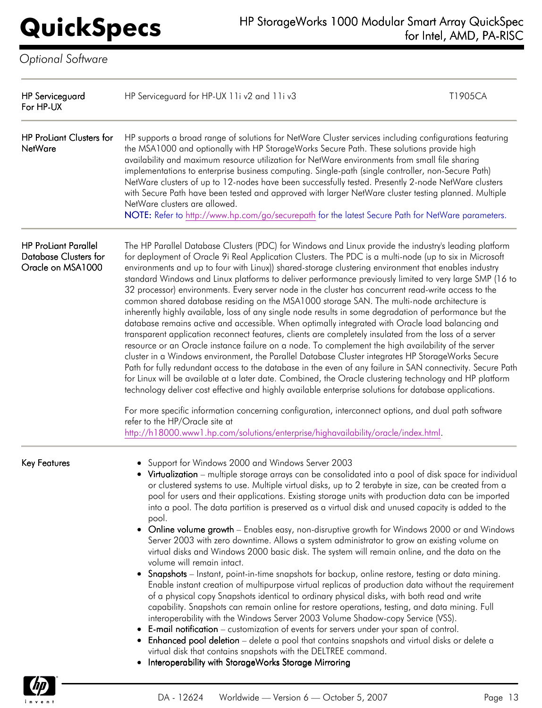$\psi$ invent

| <b>HP Serviceguard</b><br>For HP-UX                                              | HP Serviceguard for HP-UX 11i v2 and 11i v3                                                                                                                                                                                                                                                                                                                                                                                                                                                                                                                                                                                                                                                                                                                                                                                                                                                                                                                                                                                                                                                                                                                                                                                                                                                                                                                                                                                                                                                                                                                                                                                                                                                                                                       | T1905CA |
|----------------------------------------------------------------------------------|---------------------------------------------------------------------------------------------------------------------------------------------------------------------------------------------------------------------------------------------------------------------------------------------------------------------------------------------------------------------------------------------------------------------------------------------------------------------------------------------------------------------------------------------------------------------------------------------------------------------------------------------------------------------------------------------------------------------------------------------------------------------------------------------------------------------------------------------------------------------------------------------------------------------------------------------------------------------------------------------------------------------------------------------------------------------------------------------------------------------------------------------------------------------------------------------------------------------------------------------------------------------------------------------------------------------------------------------------------------------------------------------------------------------------------------------------------------------------------------------------------------------------------------------------------------------------------------------------------------------------------------------------------------------------------------------------------------------------------------------------|---------|
| <b>HP ProLiant Clusters for</b><br><b>NetWare</b>                                | HP supports a broad range of solutions for NetWare Cluster services including configurations featuring<br>the MSA1000 and optionally with HP StorageWorks Secure Path. These solutions provide high<br>availability and maximum resource utilization for NetWare environments from small file sharing<br>implementations to enterprise business computing. Single-path (single controller, non-Secure Path)<br>NetWare clusters of up to 12-nodes have been successfully tested. Presently 2-node NetWare clusters<br>with Secure Path have been tested and approved with larger NetWare cluster testing planned. Multiple<br>NetWare clusters are allowed.<br>NOTE: Refer to http://www.hp.com/go/securepath for the latest Secure Path for NetWare parameters.                                                                                                                                                                                                                                                                                                                                                                                                                                                                                                                                                                                                                                                                                                                                                                                                                                                                                                                                                                                  |         |
| <b>HP ProLiant Parallel</b><br><b>Database Clusters for</b><br>Oracle on MSA1000 | The HP Parallel Database Clusters (PDC) for Windows and Linux provide the industry's leading platform<br>for deployment of Oracle 9i Real Application Clusters. The PDC is a multi-node (up to six in Microsoft<br>environments and up to four with Linux)) shared-storage clustering environment that enables industry<br>standard Windows and Linux platforms to deliver performance previously limited to very large SMP (16 to<br>32 processor) environments. Every server node in the cluster has concurrent read-write access to the<br>common shared database residing on the MSA1000 storage SAN. The multi-node architecture is<br>inherently highly available, loss of any single node results in some degradation of performance but the<br>database remains active and accessible. When optimally integrated with Oracle load balancing and<br>transparent application reconnect features, clients are completely insulated from the loss of a server<br>resource or an Oracle instance failure on a node. To complement the high availability of the server<br>cluster in a Windows environment, the Parallel Database Cluster integrates HP StorageWorks Secure<br>Path for fully redundant access to the database in the even of any failure in SAN connectivity. Secure Path<br>for Linux will be available at a later date. Combined, the Oracle clustering technology and HP platform<br>technology deliver cost effective and highly available enterprise solutions for database applications.<br>For more specific information concerning configuration, interconnect options, and dual path software<br>refer to the HP/Oracle site at<br>http://h18000.www1.hp.com/solutions/enterprise/highavailability/oracle/index.html. |         |
| <b>Key Features</b>                                                              | Support for Windows 2000 and Windows Server 2003<br>• Virtualization – multiple storage arrays can be consolidated into a pool of disk space for individual<br>or clustered systems to use. Multiple virtual disks, up to 2 terabyte in size, can be created from a<br>pool for users and their applications. Existing storage units with production data can be imported<br>into a pool. The data partition is preserved as a virtual disk and unused capacity is added to the<br>pool.<br>• Online volume growth – Enables easy, non-disruptive growth for Windows 2000 or and Windows<br>Server 2003 with zero downtime. Allows a system administrator to grow an existing volume on<br>virtual disks and Windows 2000 basic disk. The system will remain online, and the data on the<br>volume will remain intact.<br>Snapshots - Instant, point-in-time snapshots for backup, online restore, testing or data mining.<br>٠<br>Enable instant creation of multipurpose virtual replicas of production data without the requirement<br>of a physical copy Snapshots identical to ordinary physical disks, with both read and write<br>capability. Snapshots can remain online for restore operations, testing, and data mining. Full<br>interoperability with the Windows Server 2003 Volume Shadow-copy Service (VSS).<br>E-mail notification – customization of events for servers under your span of control.<br>Enhanced pool deletion – delete a pool that contains snapshots and virtual disks or delete a<br>virtual disk that contains snapshots with the DELTREE command.<br>Interoperability with StorageWorks Storage Mirroring<br>٠                                                                                                |         |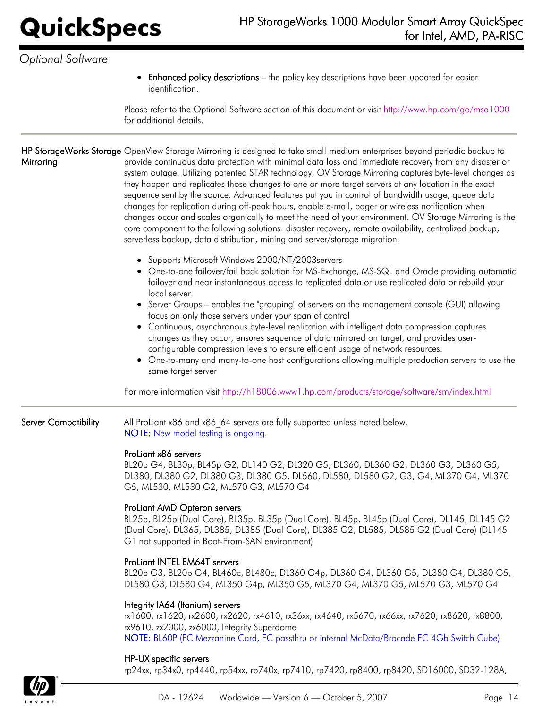Enhanced policy descriptions – the policy key descriptions have been updated for easier identification.

Please refer to the Optional Software section of this document or visit <http://www.hp.com/go/msa1000> for additional details.

**HP StorageWorks Storage** OpenView Storage Mirroring is designed to take small-medium enterprises beyond periodic backup to **Mirroring** provide continuous data protection with minimal data loss and immediate recovery from any disaster or system outage. Utilizing patented STAR technology, OV Storage Mirroring captures byte-level changes as they happen and replicates those changes to one or more target servers at any location in the exact sequence sent by the source. Advanced features put you in control of bandwidth usage, queue data changes for replication during off-peak hours, enable e-mail, pager or wireless notification when changes occur and scales organically to meet the need of your environment. OV Storage Mirroring is the core component to the following solutions: disaster recovery, remote availability, centralized backup, serverless backup, data distribution, mining and server/storage migration.

- Supports Microsoft Windows 2000/NT/2003servers
- One-to-one failover/fail back solution for MS-Exchange, MS-SQL and Oracle providing automatic failover and near instantaneous access to replicated data or use replicated data or rebuild your local server.
- Server Groups enables the "grouping" of servers on the management console (GUI) allowing focus on only those servers under your span of control
- Continuous, asynchronous byte-level replication with intelligent data compression captures changes as they occur, ensures sequence of data mirrored on target, and provides userconfigurable compression levels to ensure efficient usage of network resources.
- One-to-many and many-to-one host configurations allowing multiple production servers to use the same target server

For more information visit <http://h18006.www1.hp.com/products/storage/software/sm/index.html>

Server Compatibility All ProLiant x86 and x86\_64 servers are fully supported unless noted below. NOTE: New model testing is ongoing.

### ProLiant x86 servers

BL20p G4, BL30p, BL45p G2, DL140 G2, DL320 G5, DL360, DL360 G2, DL360 G3, DL360 G5, DL380, DL380 G2, DL380 G3, DL380 G5, DL560, DL580, DL580 G2, G3, G4, ML370 G4, ML370 G5, ML530, ML530 G2, ML570 G3, ML570 G4

## ProLiant AMD Opteron servers

BL25p, BL25p (Dual Core), BL35p, BL35p (Dual Core), BL45p, BL45p (Dual Core), DL145, DL145 G2 (Dual Core), DL365, DL385, DL385 (Dual Core), DL385 G2, DL585, DL585 G2 (Dual Core) (DL145- G1 not supported in Boot-From-SAN environment)

## ProLiant INTEL EM64T servers

BL20p G3, BL20p G4, BL460c, BL480c, DL360 G4p, DL360 G4, DL360 G5, DL380 G4, DL380 G5, DL580 G3, DL580 G4, ML350 G4p, ML350 G5, ML370 G4, ML370 G5, ML570 G3, ML570 G4

### Integrity IA64 (Itanium) servers

rx1600, rx1620, rx2600, rx2620, rx4610, rx36xx, rx4640, rx5670, rx66xx, rx7620, rx8620, rx8800, rx9610, zx2000, zx6000, Integrity Superdome NOTE: BL60P (FC Mezzanine Card, FC passthru or internal McData/Brocade FC 4Gb Switch Cube)

### HP-UX specific servers

rp24xx, rp34x0, rp4440, rp54xx, rp740x, rp7410, rp7420, rp8400, rp8420, SD16000, SD32-128A,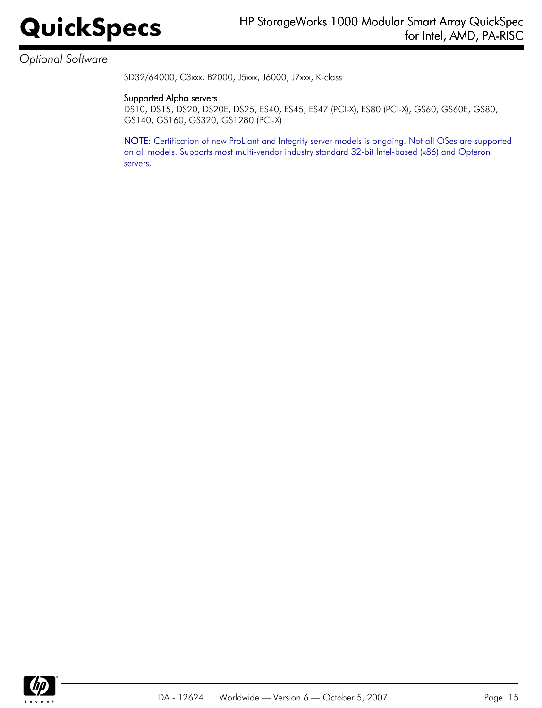SD32/64000, C3xxx, B2000, J5xxx, J6000, J7xxx, K-class

### Supported Alpha servers

DS10, DS15, DS20, DS20E, DS25, ES40, ES45, ES47 (PCI-X), ES80 (PCI-X), GS60, GS60E, GS80, GS140, GS160, GS320, GS1280 (PCI-X)

NOTE: Certification of new ProLiant and Integrity server models is ongoing. Not all OSes are supported on all models. Supports most multi-vendor industry standard 32-bit Intel-based (x86) and Opteron servers.



DA - 12624 Worldwide — Version 6 — October 5, 2007 **Page 15**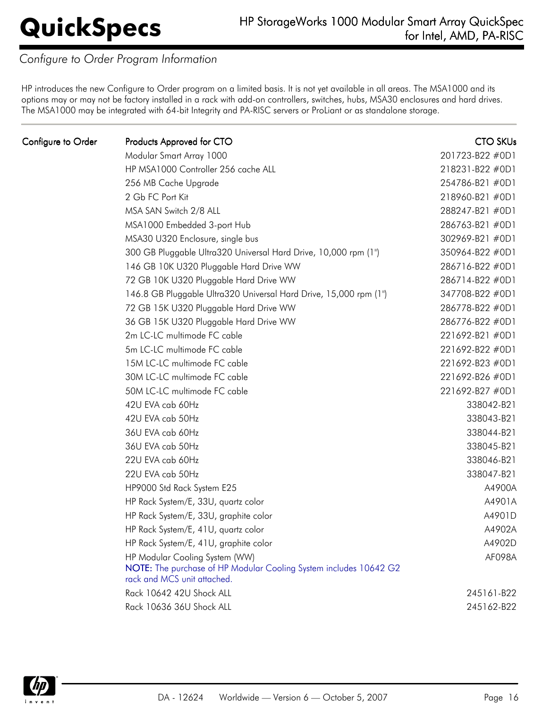## *Configure to Order Program Information*

HP introduces the new Configure to Order program on a limited basis. It is not yet available in all areas. The MSA1000 and its options may or may not be factory installed in a rack with add-on controllers, switches, hubs, MSA30 enclosures and hard drives. The MSA1000 may be integrated with 64-bit Integrity and PA-RISC servers or ProLiant or as standalone storage.

| Configure to Order | Products Approved for CTO                                                                                                          | <b>CTO SKUs</b> |
|--------------------|------------------------------------------------------------------------------------------------------------------------------------|-----------------|
|                    | Modular Smart Array 1000                                                                                                           | 201723-B22 #0D1 |
|                    | HP MSA1000 Controller 256 cache ALL                                                                                                | 218231-B22 #0D1 |
|                    | 256 MB Cache Upgrade                                                                                                               | 254786-B21 #0D1 |
|                    | 2 Gb FC Port Kit                                                                                                                   | 218960-B21 #0D1 |
|                    | MSA SAN Switch 2/8 ALL                                                                                                             | 288247-B21 #0D1 |
|                    | MSA1000 Embedded 3-port Hub                                                                                                        | 286763-B21 #0D1 |
|                    | MSA30 U320 Enclosure, single bus                                                                                                   | 302969-B21 #0D1 |
|                    | 300 GB Pluggable Ultra320 Universal Hard Drive, 10,000 rpm (1")                                                                    | 350964-B22 #0D1 |
|                    | 146 GB 10K U320 Pluggable Hard Drive WW                                                                                            | 286716-B22 #0D1 |
|                    | 72 GB 10K U320 Pluggable Hard Drive WW                                                                                             | 286714-B22 #0D1 |
|                    | 146.8 GB Pluggable Ultra320 Universal Hard Drive, 15,000 rpm (1")                                                                  | 347708-B22 #0D1 |
|                    | 72 GB 15K U320 Pluggable Hard Drive WW                                                                                             | 286778-B22 #0D1 |
|                    | 36 GB 15K U320 Pluggable Hard Drive WW                                                                                             | 286776-B22 #0D1 |
|                    | 2m LC-LC multimode FC cable                                                                                                        | 221692-B21 #0D1 |
|                    | 5m LC-LC multimode FC cable                                                                                                        | 221692-B22 #0D1 |
|                    | 15M LC-LC multimode FC cable                                                                                                       | 221692-B23 #0D1 |
|                    | 30M LC-LC multimode FC cable                                                                                                       | 221692-B26 #0D1 |
|                    | 50M LC-LC multimode FC cable                                                                                                       | 221692-B27 #0D1 |
|                    | 42U EVA cab 60Hz                                                                                                                   | 338042-B21      |
|                    | 42U EVA cab 50Hz                                                                                                                   | 338043-B21      |
|                    | 36U EVA cab 60Hz                                                                                                                   | 338044-B21      |
|                    | 36U EVA cab 50Hz                                                                                                                   | 338045-B21      |
|                    | 22U EVA cab 60Hz                                                                                                                   | 338046-B21      |
|                    | 22U EVA cab 50Hz                                                                                                                   | 338047-B21      |
|                    | HP9000 Std Rack System E25                                                                                                         | A4900A          |
|                    | HP Rack System/E, 33U, quartz color                                                                                                | A4901A          |
|                    | HP Rack System/E, 33U, graphite color                                                                                              | A4901D          |
|                    | HP Rack System/E, 41U, quartz color                                                                                                | A4902A          |
|                    | HP Rack System/E, 41U, graphite color                                                                                              | A4902D          |
|                    | HP Modular Cooling System (WW)<br>NOTE: The purchase of HP Modular Cooling System includes 10642 G2<br>rack and MCS unit attached. | AF098A          |
|                    | Rack 10642 42U Shock ALL                                                                                                           | 245161-B22      |
|                    | Rack 10636 36U Shock ALL                                                                                                           | 245162-B22      |
|                    |                                                                                                                                    |                 |

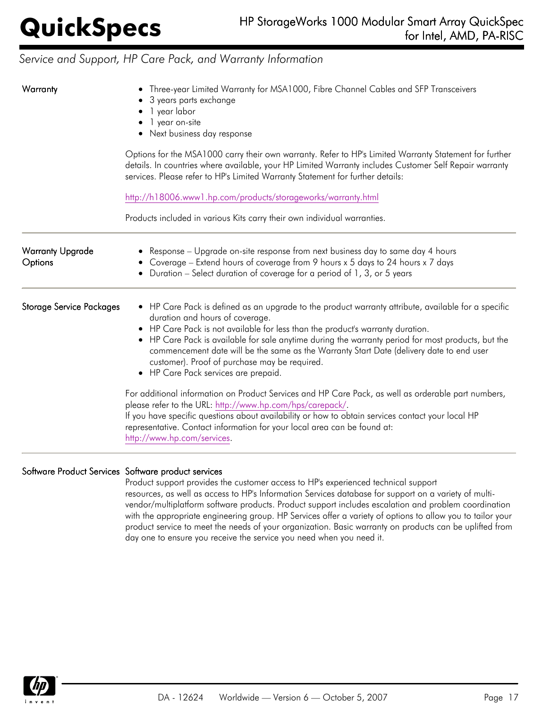# *Service and Support, HP Care Pack, and Warranty Information*

| Warranty                           | Three-year Limited Warranty for MSA1000, Fibre Channel Cables and SFP Transceivers<br>3 years parts exchange<br>1 year labor<br>• 1 year on-site<br>• Next business day response<br>Options for the MSA1000 carry their own warranty. Refer to HP's Limited Warranty Statement for further<br>details. In countries where available, your HP Limited Warranty includes Customer Self Repair warranty<br>services. Please refer to HP's Limited Warranty Statement for further details:<br>http://h18006.www1.hp.com/products/storageworks/warranty.html<br>Products included in various Kits carry their own individual warranties.                                                                                                                                                                                                                                                                     |
|------------------------------------|---------------------------------------------------------------------------------------------------------------------------------------------------------------------------------------------------------------------------------------------------------------------------------------------------------------------------------------------------------------------------------------------------------------------------------------------------------------------------------------------------------------------------------------------------------------------------------------------------------------------------------------------------------------------------------------------------------------------------------------------------------------------------------------------------------------------------------------------------------------------------------------------------------|
|                                    |                                                                                                                                                                                                                                                                                                                                                                                                                                                                                                                                                                                                                                                                                                                                                                                                                                                                                                         |
| <b>Warranty Upgrade</b><br>Options | Response – Upgrade on-site response from next business day to same day 4 hours<br>Coverage - Extend hours of coverage from 9 hours x 5 days to 24 hours x 7 days<br>Duration - Select duration of coverage for a period of 1, 3, or 5 years                                                                                                                                                                                                                                                                                                                                                                                                                                                                                                                                                                                                                                                             |
| <b>Storage Service Packages</b>    | • HP Care Pack is defined as an upgrade to the product warranty attribute, available for a specific<br>duration and hours of coverage.<br>• HP Care Pack is not available for less than the product's warranty duration.<br>• HP Care Pack is available for sale anytime during the warranty period for most products, but the<br>commencement date will be the same as the Warranty Start Date (delivery date to end user<br>customer). Proof of purchase may be required.<br>• HP Care Pack services are prepaid.<br>For additional information on Product Services and HP Care Pack, as well as orderable part numbers,<br>please refer to the URL: http://www.hp.com/hps/carepack/.<br>If you have specific questions about availability or how to obtain services contact your local HP<br>representative. Contact information for your local area can be found at:<br>http://www.hp.com/services. |

### Software Product Services Software product services

Product support provides the customer access to HP's experienced technical support resources, as well as access to HP's Information Services database for support on a variety of multivendor/multiplatform software products. Product support includes escalation and problem coordination with the appropriate engineering group. HP Services offer a variety of options to allow you to tailor your product service to meet the needs of your organization. Basic warranty on products can be uplifted from day one to ensure you receive the service you need when you need it.

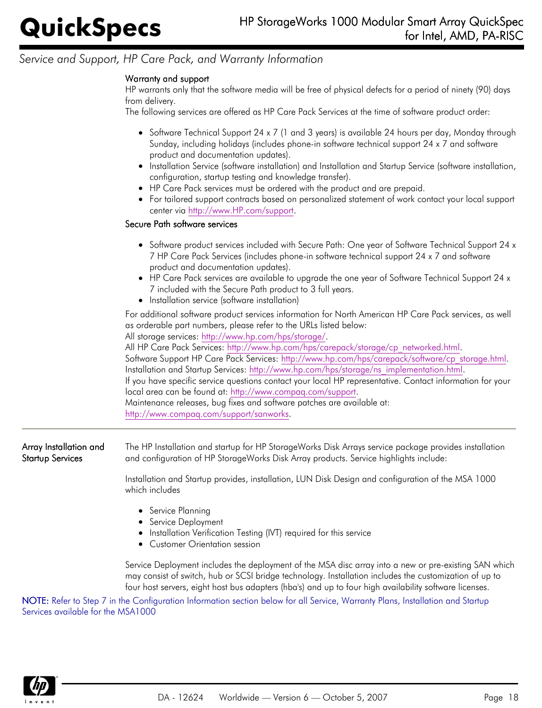# *Service and Support, HP Care Pack, and Warranty Information*

## Warranty and support

HP warrants only that the software media will be free of physical defects for a period of ninety (90) days from delivery.

The following services are offered as HP Care Pack Services at the time of software product order:

- Software Technical Support 24 x 7 (1 and 3 years) is available 24 hours per day, Monday through Sunday, including holidays (includes phone-in software technical support 24 x 7 and software product and documentation updates).
- Installation Service (software installation) and Installation and Startup Service (software installation, configuration, startup testing and knowledge transfer).
- HP Care Pack services must be ordered with the product and are prepaid.
- For tailored support contracts based on personalized statement of work contact your local support center via <http://www.HP.com/support>.

### Secure Path software services

- Software product services included with Secure Path: One year of Software Technical Support 24 x 7 HP Care Pack Services (includes phone-in software technical support 24 x 7 and software product and documentation updates).
- HP Care Pack services are available to upgrade the one year of Software Technical Support 24 x 7 included with the Secure Path product to 3 full years.
- Installation service (software installation)

For additional software product services information for North American HP Care Pack services, as well as orderable part numbers, please refer to the URLs listed below:

All storage services:<http://www.hp.com/hps/storage/>.

All HP Care Pack Services: [http://www.hp.com/hps/carepack/storage/cp\\_networked.html](http://www.hp.com/hps/carepack/storage/cp_networked.html).

Software Support HP Care Pack Services: [http://www.hp.com/hps/carepack/software/cp\\_storage.html](http://www.hp.com/hps/carepack/software/cp_storage.html). Installation and Startup Services: [http://www.hp.com/hps/storage/ns\\_implementation.html](http://www.hp.com/hps/storage/ns_implementation.html).

If you have specific service questions contact your local HP representative. Contact information for your local area can be found at: [http://www.compaq.com/support.](http://www.compaq.com/support)

Maintenance releases, bug fixes and software patches are available at: [http://www.compaq.com/support/sanworks.](http://www.compaq.com/support/sanworks)

Array Installation and Startup Services The HP Installation and startup for HP StorageWorks Disk Arrays service package provides installation and configuration of HP StorageWorks Disk Array products. Service highlights include:

> Installation and Startup provides, installation, LUN Disk Design and configuration of the MSA 1000 which includes

- Service Planning
- Service Deployment
- Installation Verification Testing (IVT) required for this service
- Customer Orientation session

Service Deployment includes the deployment of the MSA disc array into a new or pre-existing SAN which may consist of switch, hub or SCSI bridge technology. Installation includes the customization of up to four host servers, eight host bus adapters (hba's) and up to four high availability software licenses.

NOTE: Refer to Step 7 in the Configuration Information section below for all Service, Warranty Plans, Installation and Startup Services available for the MSA1000

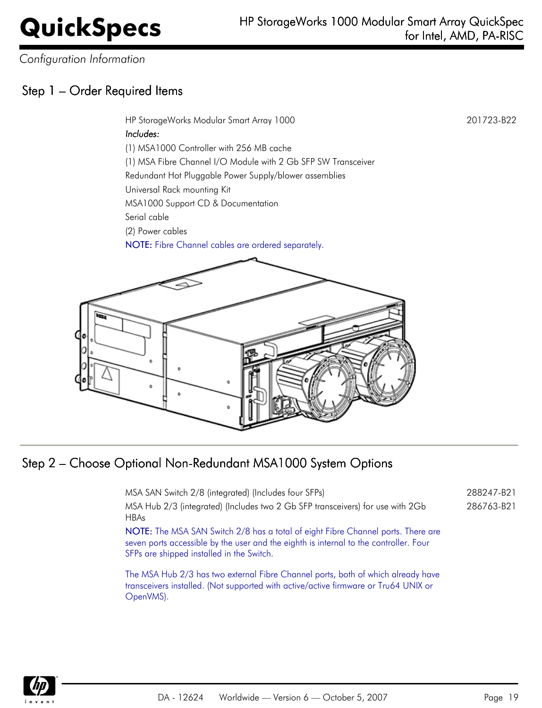*Configuration Information*

# Step 1 – Order Required Items

HP StorageWorks Modular Smart Array 1000 201723-B22

Includes:

(1) MSA1000 Controller with 256 MB cache

(1) MSA Fibre Channel I/O Module with 2 Gb SFP SW Transceiver

Redundant Hot Pluggable Power Supply/blower assemblies

Universal Rack mounting Kit

MSA1000 Support CD & Documentation

Serial cable

(2) Power cables

NOTE: Fibre Channel cables are ordered separately.



# Step 2 – Choose Optional Non-Redundant MSA1000 System Options

| MSA SAN Switch 2/8 (integrated) (Includes four SFPs)                                                                                                                                                                   | 288247-B21 |
|------------------------------------------------------------------------------------------------------------------------------------------------------------------------------------------------------------------------|------------|
| MSA Hub 2/3 (integrated) (Includes two 2 Gb SFP transceivers) for use with 2Gb<br><b>HBAs</b>                                                                                                                          | 286763-B21 |
| NOTE: The MSA SAN Switch 2/8 has a total of eight Fibre Channel ports. There are<br>seven ports accessible by the user and the eighth is internal to the controller. Four<br>SFPs are shipped installed in the Switch. |            |

The MSA Hub 2/3 has two external Fibre Channel ports, both of which already have transceivers installed. (Not supported with active/active firmware or Tru64 UNIX or OpenVMS).

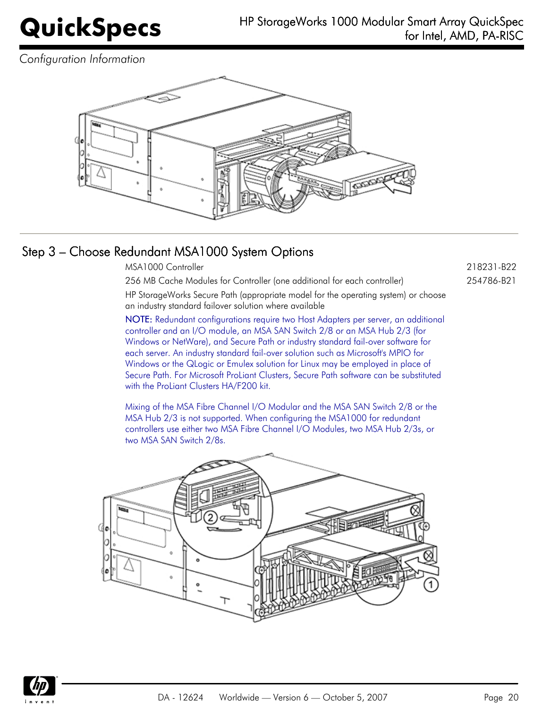*Configuration Information*



# Step 3 – Choose Redundant MSA1000 System Options

MSA1000 Controller 218231-B22

256 MB Cache Modules for Controller (one additional for each controller) 254786-B21

HP StorageWorks Secure Path (appropriate model for the operating system) or choose an industry standard failover solution where available

NOTE: Redundant configurations require two Host Adapters per server, an additional controller and an I/O module, an MSA SAN Switch 2/8 or an MSA Hub 2/3 (for Windows or NetWare), and Secure Path or industry standard fail-over software for each server. An industry standard fail-over solution such as Microsoft's MPIO for Windows or the QLogic or Emulex solution for Linux may be employed in place of Secure Path. For Microsoft ProLiant Clusters, Secure Path software can be substituted with the ProLiant Clusters HA/F200 kit.

Mixing of the MSA Fibre Channel I/O Modular and the MSA SAN Switch 2/8 or the MSA Hub 2/3 is not supported. When configuring the MSA1000 for redundant controllers use either two MSA Fibre Channel I/O Modules, two MSA Hub 2/3s, or two MSA SAN Switch 2/8s.



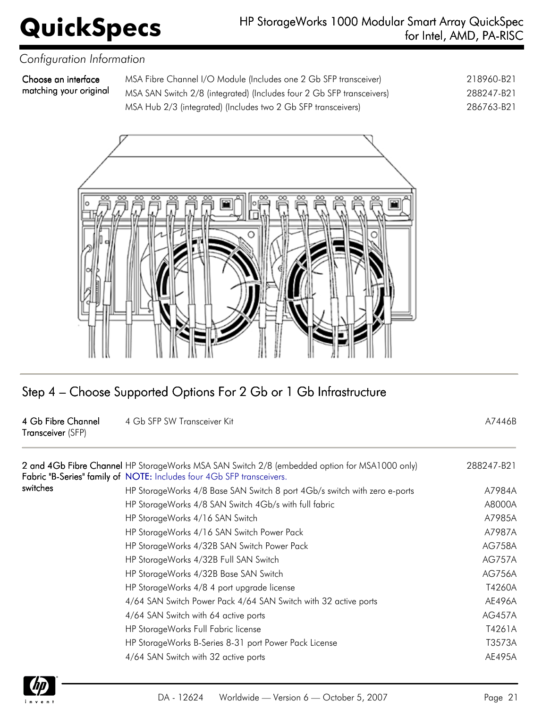## **QuickSpecs** HP StorageWorks 1000 Modular Smart Array QuickSpec<br>for Intel, AMD, PA-RISC for Intel, AMD, PA-RISC

## *Configuration Information*

Choose an interface matching your original

MSA Fibre Channel I/O Module (Includes one 2 Gb SFP transceiver) 218960-B21 MSA SAN Switch 2/8 (integrated) (Includes four 2 Gb SFP transceivers) 288247-B21 MSA Hub 2/3 (integrated) (Includes two 2 Gb SFP transceivers) 286763-B21



# Step 4 – Choose Supported Options For 2 Gb or 1 Gb Infrastructure

### 4 Gb Fibre Channel Transceiver (SFP) 4 Gb SFP SW Transceiver Kit A7446B

|          | 2 and 4Gb Fibre Channel HP StorageWorks MSA SAN Switch 2/8 (embedded option for MSA1000 only)<br>Fabric "B-Series" family of NOTE: Includes four 4Gb SFP transceivers. | 288247-B21    |
|----------|------------------------------------------------------------------------------------------------------------------------------------------------------------------------|---------------|
| switches | HP StorageWorks 4/8 Base SAN Switch 8 port 4Gb/s switch with zero e-ports                                                                                              | A7984A        |
|          | HP StorageWorks 4/8 SAN Switch 4Gb/s with full fabric                                                                                                                  | A8000A        |
|          | HP StorageWorks 4/16 SAN Switch                                                                                                                                        | A7985A        |
|          | HP StorageWorks 4/16 SAN Switch Power Pack                                                                                                                             | A7987A        |
|          | HP StorageWorks 4/32B SAN Switch Power Pack                                                                                                                            | <b>AG758A</b> |
|          | HP StorageWorks 4/32B Full SAN Switch                                                                                                                                  | <b>AG757A</b> |
|          | HP StorageWorks 4/32B Base SAN Switch                                                                                                                                  | <b>AG756A</b> |
|          | HP StorageWorks 4/8 4 port upgrade license                                                                                                                             | T4260A        |
|          | 4/64 SAN Switch Power Pack 4/64 SAN Switch with 32 active ports                                                                                                        | AE496A        |
|          | 4/64 SAN Switch with 64 active ports                                                                                                                                   | <b>AG457A</b> |
|          | HP StorageWorks Full Fabric license                                                                                                                                    | T4261A        |
|          | HP StorageWorks B-Series 8-31 port Power Pack License                                                                                                                  | T3573A        |
|          | 4/64 SAN Switch with 32 active ports                                                                                                                                   | AE495A        |
|          |                                                                                                                                                                        |               |

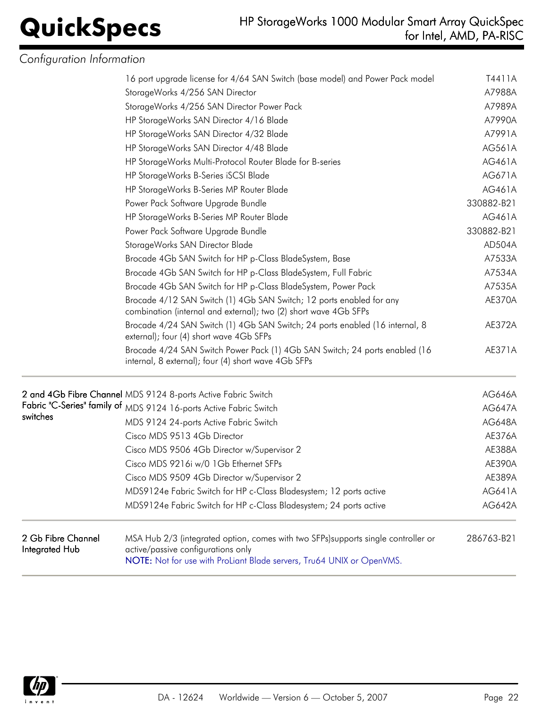# *Configuration Information*

|                                      | 16 port upgrade license for 4/64 SAN Switch (base model) and Power Pack model                                                                                                                     | T4411A        |
|--------------------------------------|---------------------------------------------------------------------------------------------------------------------------------------------------------------------------------------------------|---------------|
|                                      | StorageWorks 4/256 SAN Director                                                                                                                                                                   | A7988A        |
|                                      | StorageWorks 4/256 SAN Director Power Pack                                                                                                                                                        | A7989A        |
|                                      | HP StorageWorks SAN Director 4/16 Blade                                                                                                                                                           | A7990A        |
|                                      | HP StorageWorks SAN Director 4/32 Blade                                                                                                                                                           | A7991A        |
|                                      | HP StorageWorks SAN Director 4/48 Blade                                                                                                                                                           | AG561A        |
|                                      | HP StorageWorks Multi-Protocol Router Blade for B-series                                                                                                                                          | AG461A        |
|                                      | HP StorageWorks B-Series iSCSI Blade                                                                                                                                                              | AG671A        |
|                                      | HP StorageWorks B-Series MP Router Blade                                                                                                                                                          | AG461A        |
|                                      | Power Pack Software Upgrade Bundle                                                                                                                                                                | 330882-B21    |
|                                      | HP StorageWorks B-Series MP Router Blade                                                                                                                                                          | AG461A        |
|                                      | Power Pack Software Upgrade Bundle                                                                                                                                                                | 330882-B21    |
|                                      | StorageWorks SAN Director Blade                                                                                                                                                                   | AD504A        |
|                                      | Brocade 4Gb SAN Switch for HP p-Class BladeSystem, Base                                                                                                                                           | A7533A        |
|                                      | Brocade 4Gb SAN Switch for HP p-Class BladeSystem, Full Fabric                                                                                                                                    | A7534A        |
|                                      | Brocade 4Gb SAN Switch for HP p-Class BladeSystem, Power Pack                                                                                                                                     | A7535A        |
|                                      | Brocade 4/12 SAN Switch (1) 4Gb SAN Switch; 12 ports enabled for any<br>combination (internal and external); two (2) short wave 4Gb SFPs                                                          | AE370A        |
|                                      | Brocade 4/24 SAN Switch (1) 4Gb SAN Switch; 24 ports enabled (16 internal, 8<br>external); four (4) short wave 4Gb SFPs                                                                           | AE372A        |
|                                      | Brocade 4/24 SAN Switch Power Pack (1) 4Gb SAN Switch; 24 ports enabled (16<br>internal, 8 external); four (4) short wave 4Gb SFPs                                                                | AE371A        |
|                                      | 2 and 4Gb Fibre Channel MDS 9124 8-ports Active Fabric Switch                                                                                                                                     | <b>AG646A</b> |
|                                      | Fabric "C-Series" family of MDS 9124 16-ports Active Fabric Switch                                                                                                                                | <b>AG647A</b> |
| switches                             | MDS 9124 24-ports Active Fabric Switch                                                                                                                                                            | <b>AG648A</b> |
|                                      | Cisco MDS 9513 4Gb Director                                                                                                                                                                       | AE376A        |
|                                      | Cisco MDS 9506 4Gb Director w/Supervisor 2                                                                                                                                                        | AE388A        |
|                                      | Cisco MDS 9216i w/0 1Gb Ethernet SFPs                                                                                                                                                             | AE390A        |
|                                      | Cisco MDS 9509 4Gb Director w/Supervisor 2                                                                                                                                                        | AE389A        |
|                                      | MDS9124e Fabric Switch for HP c-Class Bladesystem; 12 ports active                                                                                                                                | AG641A        |
|                                      | MDS9124e Fabric Switch for HP c-Class Bladesystem; 24 ports active                                                                                                                                | <b>AG642A</b> |
| 2 Gb Fibre Channel<br>Integrated Hub | MSA Hub 2/3 (integrated option, comes with two SFPs) supports single controller or<br>active/passive configurations only<br>NOTE: Not for use with ProLiant Blade servers, Tru64 UNIX or OpenVMS. | 286763-B21    |

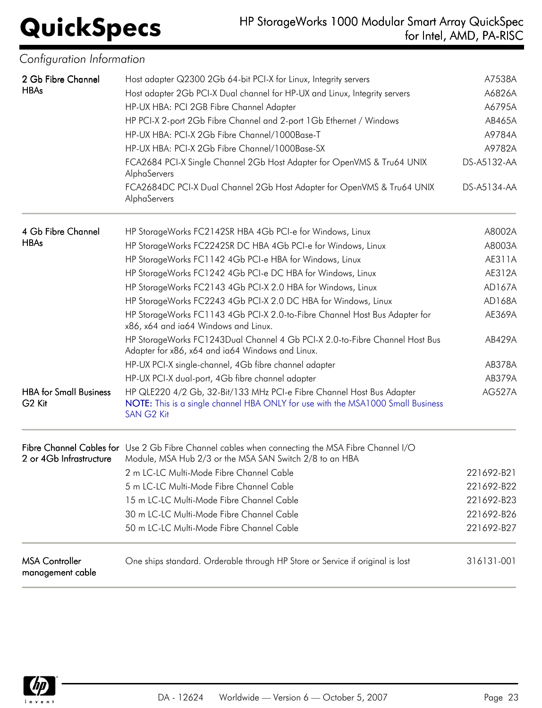# **QuickSpecs** HP StorageWorks 1000 Modular Smart Array QuickSpec<br>for Intel, AMD, PA-RISC for Intel, AMD, PA-RISC

| Contiguration Intormation                           |                                                                                                                                                                        |               |
|-----------------------------------------------------|------------------------------------------------------------------------------------------------------------------------------------------------------------------------|---------------|
| 2 Gb Fibre Channel                                  | Host adapter Q2300 2Gb 64-bit PCI-X for Linux, Integrity servers                                                                                                       | A7538A        |
| <b>HBAs</b>                                         | Host adapter 2Gb PCI-X Dual channel for HP-UX and Linux, Integrity servers                                                                                             | A6826A        |
|                                                     | HP-UX HBA: PCI 2GB Fibre Channel Adapter                                                                                                                               | A6795A        |
|                                                     | HP PCI-X 2-port 2Gb Fibre Channel and 2-port 1Gb Ethernet / Windows                                                                                                    | AB465A        |
|                                                     | HP-UX HBA: PCI-X 2Gb Fibre Channel/1000Base-T                                                                                                                          | A9784A        |
|                                                     | HP-UX HBA: PCI-X 2Gb Fibre Channel/1000Base-SX                                                                                                                         | A9782A        |
|                                                     | FCA2684 PCI-X Single Channel 2Gb Host Adapter for OpenVMS & Tru64 UNIX<br>AlphaServers                                                                                 | DS-A5132-AA   |
|                                                     | FCA2684DC PCI-X Dual Channel 2Gb Host Adapter for OpenVMS & Tru64 UNIX<br>AlphaServers                                                                                 | DS-A5134-AA   |
| 4 Gb Fibre Channel                                  | HP StorageWorks FC2142SR HBA 4Gb PCI-e for Windows, Linux                                                                                                              | A8002A        |
| <b>HBAs</b>                                         | HP StorageWorks FC2242SR DC HBA 4Gb PCI-e for Windows, Linux                                                                                                           | A8003A        |
|                                                     | HP StorageWorks FC1142 4Gb PCI-e HBA for Windows, Linux                                                                                                                | AE311A        |
|                                                     | HP StorageWorks FC1242 4Gb PCI-e DC HBA for Windows, Linux                                                                                                             | AE312A        |
|                                                     | HP StorageWorks FC2143 4Gb PCI-X 2.0 HBA for Windows, Linux                                                                                                            | AD167A        |
|                                                     | HP StorageWorks FC2243 4Gb PCI-X 2.0 DC HBA for Windows, Linux                                                                                                         | AD168A        |
|                                                     | HP StorageWorks FC1143 4Gb PCI-X 2.0-to-Fibre Channel Host Bus Adapter for<br>x86, x64 and ia64 Windows and Linux.                                                     | AE369A        |
|                                                     | HP StorageWorks FC1243Dual Channel 4 Gb PCI-X 2.0-to-Fibre Channel Host Bus<br>Adapter for x86, x64 and ia64 Windows and Linux.                                        | AB429A        |
|                                                     | HP-UX PCI-X single-channel, 4Gb fibre channel adapter                                                                                                                  | AB378A        |
|                                                     | HP-UX PCI-X dual-port, 4Gb fibre channel adapter                                                                                                                       | AB379A        |
| <b>HBA</b> for Small Business<br>G <sub>2</sub> Kit | HP QLE220 4/2 Gb, 32-Bit/133 MHz PCI-e Fibre Channel Host Bus Adapter<br>NOTE: This is a single channel HBA ONLY for use with the MSA1000 Small Business<br>SAN G2 Kit | <b>AG527A</b> |
| 2 or 4Gb Infrastructure                             | Fibre Channel Cables for Use 2 Gb Fibre Channel cables when connecting the MSA Fibre Channel I/O<br>Module, MSA Hub 2/3 or the MSA SAN Switch 2/8 to an HBA            |               |
|                                                     | 2 m LC-LC Multi-Mode Fibre Channel Cable                                                                                                                               | 221692-B21    |
|                                                     | 5 m LC-LC Multi-Mode Fibre Channel Cable                                                                                                                               | 221692-B22    |
|                                                     | 15 m LC-LC Multi-Mode Fibre Channel Cable                                                                                                                              | 221692-B23    |
|                                                     | 30 m LC-LC Multi-Mode Fibre Channel Cable                                                                                                                              | 221692-B26    |
|                                                     | 50 m LC-LC Multi-Mode Fibre Channel Cable                                                                                                                              | 221692-B27    |
| <b>MSA Controller</b><br>management cable           | One ships standard. Orderable through HP Store or Service if original is lost                                                                                          | 316131-001    |

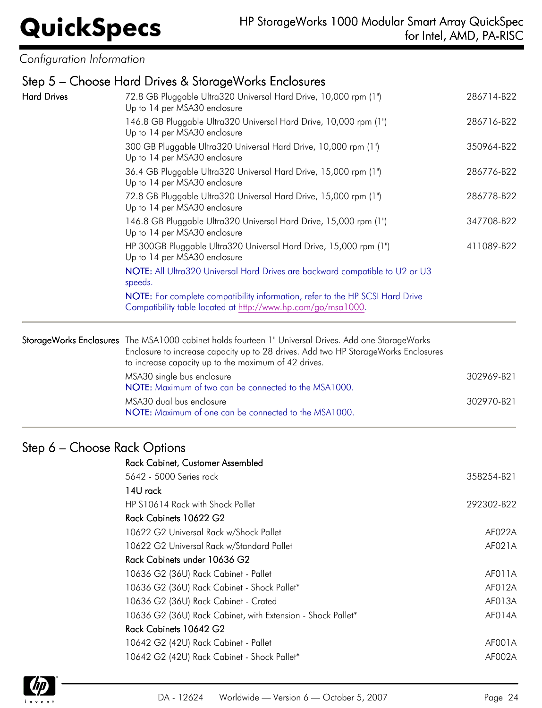*Configuration Information*

# Step 5 – Choose Hard Drives & StorageWorks Enclosures

| <b>Hard Drives</b> | 72.8 GB Pluggable Ultra320 Universal Hard Drive, 10,000 rpm (1")<br>Up to 14 per MSA30 enclosure                                                                                                                                                                                                                                                                                                               |            |
|--------------------|----------------------------------------------------------------------------------------------------------------------------------------------------------------------------------------------------------------------------------------------------------------------------------------------------------------------------------------------------------------------------------------------------------------|------------|
|                    | 146.8 GB Pluggable Ultra320 Universal Hard Drive, 10,000 rpm (1")<br>Up to 14 per MSA30 enclosure                                                                                                                                                                                                                                                                                                              | 286716-B22 |
|                    | 300 GB Pluggable Ultra320 Universal Hard Drive, 10,000 rpm (1")<br>Up to 14 per MSA30 enclosure                                                                                                                                                                                                                                                                                                                | 350964-B22 |
|                    | 36.4 GB Pluggable Ultra320 Universal Hard Drive, 15,000 rpm (1")<br>Up to 14 per MSA30 enclosure<br>72.8 GB Pluggable Ultra320 Universal Hard Drive, 15,000 rpm (1")<br>Up to 14 per MSA30 enclosure<br>146.8 GB Pluggable Ultra320 Universal Hard Drive, 15,000 rpm (1")<br>Up to 14 per MSA30 enclosure<br>HP 300GB Pluggable Ultra320 Universal Hard Drive, 15,000 rpm (1")<br>Up to 14 per MSA30 enclosure |            |
|                    |                                                                                                                                                                                                                                                                                                                                                                                                                |            |
|                    |                                                                                                                                                                                                                                                                                                                                                                                                                |            |
|                    |                                                                                                                                                                                                                                                                                                                                                                                                                |            |
|                    | NOTE: All Ultra320 Universal Hard Drives are backward compatible to U2 or U3<br>speeds.                                                                                                                                                                                                                                                                                                                        |            |
|                    | NOTE: For complete compatibility information, refer to the HP SCSI Hard Drive<br>Compatibility table located at http://www.hp.com/go/msa1000.                                                                                                                                                                                                                                                                  |            |
|                    | StorageWorks Enclosures The MSA1000 cabinet holds fourteen 1" Universal Drives. Add one StorageWorks<br>Enclosure to increase capacity up to 28 drives. Add two HP StorageWorks Enclosures<br>to increase capacity up to the maximum of 42 drives.                                                                                                                                                             |            |
|                    | MSA30 single bus enclosure<br>NOTE: Maximum of two can be connected to the MSA1000.                                                                                                                                                                                                                                                                                                                            | 302969-B21 |
|                    | MSA30 dual bus enclosure<br>NOTE: Maximum of one can be connected to the MSA1000.                                                                                                                                                                                                                                                                                                                              | 302970-B21 |
|                    |                                                                                                                                                                                                                                                                                                                                                                                                                |            |

# Step 6 – Choose Rack Options

| <b>Rack Cabinet, Customer Assembled</b>                     |            |
|-------------------------------------------------------------|------------|
| 5642 - 5000 Series rack                                     | 358254-B21 |
| 14U rack                                                    |            |
| HP S10614 Rack with Shock Pallet                            | 292302-B22 |
| Rack Cabinets 10622 G2                                      |            |
| 10622 G2 Universal Rack w/Shock Pallet                      | AF022A     |
| 10622 G2 Universal Rack w/Standard Pallet                   | AF021A     |
| Rack Cabinets under 10636 G2                                |            |
| 10636 G2 (36U) Rack Cabinet - Pallet                        | AF011A     |
| 10636 G2 (36U) Rack Cabinet - Shock Pallet*                 | AF012A     |
| 10636 G2 (36U) Rack Cabinet - Crated                        | AF013A     |
| 10636 G2 (36U) Rack Cabinet, with Extension - Shock Pallet* | AF014A     |
| Rack Cabinets 10642 G2                                      |            |
| 10642 G2 (42U) Rack Cabinet - Pallet                        | AF001A     |
| 10642 G2 (42U) Rack Cabinet - Shock Pallet*                 | AF002A     |
|                                                             |            |

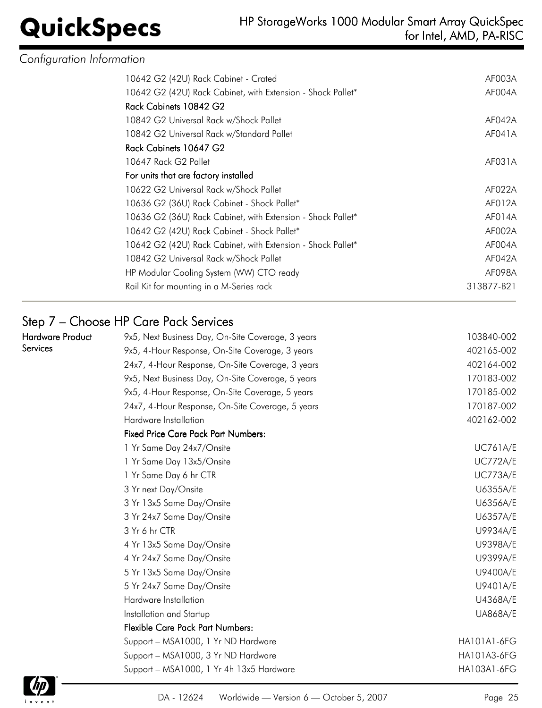## **QuickSpecs** HP StorageWorks 1000 Modular Smart Array QuickSpec<br>for Intel, AMD, PA-RISC for Intel, AMD, PA-RISC

|  | Configuration Information |  |
|--|---------------------------|--|
|  |                           |  |

| 10642 G2 (42U) Rack Cabinet - Crated                        | AF003A     |
|-------------------------------------------------------------|------------|
| 10642 G2 (42U) Rack Cabinet, with Extension - Shock Pallet* | AF004A     |
| Rack Cabinets 10842 G2                                      |            |
| 10842 G2 Universal Rack w/Shock Pallet                      | AF042A     |
| 10842 G2 Universal Rack w/Standard Pallet                   | AF041A     |
| Rack Cabinets 10647 G2                                      |            |
| 10647 Rack G2 Pallet                                        | AF031A     |
| For units that are factory installed                        |            |
| 10622 G2 Universal Rack w/Shock Pallet                      | AF022A     |
| 10636 G2 (36U) Rack Cabinet - Shock Pallet*                 | AF012A     |
| 10636 G2 (36U) Rack Cabinet, with Extension - Shock Pallet* | AF014A     |
| 10642 G2 (42U) Rack Cabinet - Shock Pallet*                 | AF002A     |
| 10642 G2 (42U) Rack Cabinet, with Extension - Shock Pallet* | AF004A     |
| 10842 G2 Universal Rack w/Shock Pallet                      | AF042A     |
| HP Modular Cooling System (WW) CTO ready                    | AF098A     |
| Rail Kit for mounting in a M-Series rack                    | 313877-B21 |
|                                                             |            |

# Step 7 – Choose HP Care Pack Services

| <b>Hardware Product</b> | 9x5, Next Business Day, On-Site Coverage, 3 years | 103840-002         |
|-------------------------|---------------------------------------------------|--------------------|
| Services                | 9x5, 4-Hour Response, On-Site Coverage, 3 years   | 402165-002         |
|                         | 24x7, 4-Hour Response, On-Site Coverage, 3 years  | 402164-002         |
|                         | 9x5, Next Business Day, On-Site Coverage, 5 years | 170183-002         |
|                         | 9x5, 4-Hour Response, On-Site Coverage, 5 years   | 170185-002         |
|                         | 24x7, 4-Hour Response, On-Site Coverage, 5 years  | 170187-002         |
|                         | Hardware Installation                             | 402162-002         |
|                         | <b>Fixed Price Care Pack Part Numbers:</b>        |                    |
|                         | 1 Yr Same Day 24x7/Onsite                         | <b>UC761A/E</b>    |
|                         | 1 Yr Same Day 13x5/Onsite                         | <b>UC772A/E</b>    |
|                         | 1 Yr Same Day 6 hr CTR                            | <b>UC773A/E</b>    |
|                         | 3 Yr next Day/Onsite                              | U6355A/E           |
|                         | 3 Yr 13x5 Same Day/Onsite                         | U6356A/E           |
|                         | 3 Yr 24x7 Same Day/Onsite                         | U6357A/E           |
|                         | 3 Yr 6 hr CTR                                     | U9934A/E           |
|                         | 4 Yr 13x5 Same Day/Onsite                         | U9398A/E           |
|                         | 4 Yr 24x7 Same Day/Onsite                         | U9399A/E           |
|                         | 5 Yr 13x5 Same Day/Onsite                         | U9400A/E           |
|                         | 5 Yr 24x7 Same Day/Onsite                         | U9401A/E           |
|                         | Hardware Installation                             | U4368A/E           |
|                         | Installation and Startup                          | <b>UA868A/E</b>    |
|                         | <b>Flexible Care Pack Part Numbers:</b>           |                    |
|                         | Support - MSA1000, 1 Yr ND Hardware               | <b>HA101A1-6FG</b> |
|                         | Support - MSA1000, 3 Yr ND Hardware               | HA101A3-6FG        |
|                         | Support - MSA1000, 1 Yr 4h 13x5 Hardware          | HA103A1-6FG        |

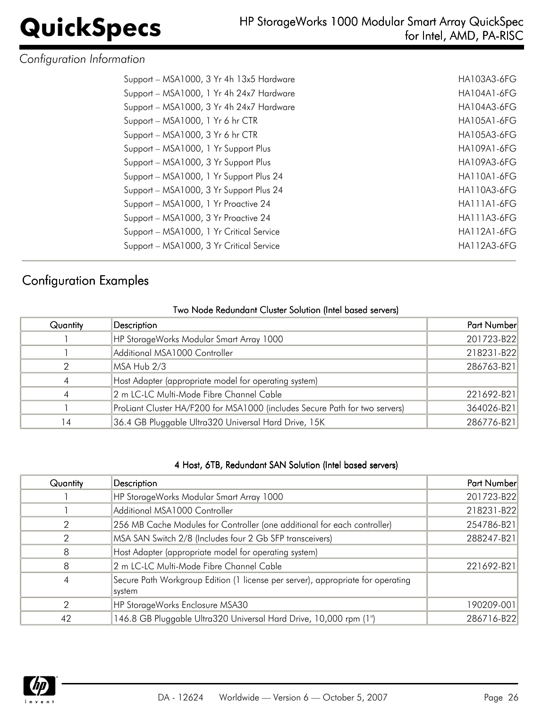# *Configuration Information*

| Support - MSA1000, 3 Yr 4h 13x5 Hardware | HA103A3-6FG        |
|------------------------------------------|--------------------|
| Support - MSA1000, 1 Yr 4h 24x7 Hardware | <b>HA104A1-6FG</b> |
| Support - MSA1000, 3 Yr 4h 24x7 Hardware | HA104A3-6FG        |
| Support - MSA1000, 1 Yr 6 hr CTR         | <b>HA105A1-6FG</b> |
| Support - MSA1000, 3 Yr 6 hr CTR         | HA105A3-6FG        |
| Support - MSA1000, 1 Yr Support Plus     | <b>HA109A1-6FG</b> |
| Support - MSA1000, 3 Yr Support Plus     | HA109A3-6FG        |
| Support - MSA1000, 1 Yr Support Plus 24  | <b>HA110A1-6FG</b> |
| Support - MSA1000, 3 Yr Support Plus 24  | <b>HA110A3-6FG</b> |
| Support - MSA1000, 1 Yr Proactive 24     | <b>HA111A1-6FG</b> |
| Support - MSA1000, 3 Yr Proactive 24     | HA111A3-6FG        |
| Support - MSA1000, 1 Yr Critical Service | <b>HA112A1-6FG</b> |
| Support - MSA1000, 3 Yr Critical Service | <b>HA112A3-6FG</b> |
|                                          |                    |

# Configuration Examples

## Two Node Redundant Cluster Solution (Intel based servers)

| Quantity       | Description                                                                 | Part Number |
|----------------|-----------------------------------------------------------------------------|-------------|
|                | HP StorageWorks Modular Smart Array 1000                                    | 201723-B22  |
|                | Additional MSA1000 Controller                                               | 218231-B22  |
|                | MSA Hub 2/3                                                                 | 286763-B21  |
| $\overline{A}$ | Host Adapter (appropriate model for operating system)                       |             |
| $\overline{A}$ | 2 m LC-LC Multi-Mode Fibre Channel Cable                                    | 221692-B21  |
|                | ProLiant Cluster HA/F200 for MSA1000 (includes Secure Path for two servers) | 364026-B21  |
| 14             | 36.4 GB Pluggable Ultra320 Universal Hard Drive, 15K                        | 286776-B21  |

### 4 Host, 6TB, Redundant SAN Solution (Intel based servers)

| Quantity | Description                                                                               | Part Number |
|----------|-------------------------------------------------------------------------------------------|-------------|
|          | HP StorageWorks Modular Smart Array 1000                                                  | 201723-B22  |
|          | Additional MSA1000 Controller                                                             | 218231-B22  |
| 2        | 256 MB Cache Modules for Controller (one additional for each controller)                  | 254786-B21  |
| 2        | MSA SAN Switch 2/8 (Includes four 2 Gb SFP transceivers)                                  | 288247-B21  |
| 8        | Host Adapter (appropriate model for operating system)                                     |             |
| 8        | 2 m LC-LC Multi-Mode Fibre Channel Cable                                                  | 221692-B21  |
| 4        | Secure Path Workgroup Edition (1 license per server), appropriate for operating<br>system |             |
| 2        | HP StorageWorks Enclosure MSA30                                                           | 190209-001  |
| 42       | 146.8 GB Pluggable Ultra320 Universal Hard Drive, 10,000 rpm (1")                         | 286716-B22  |

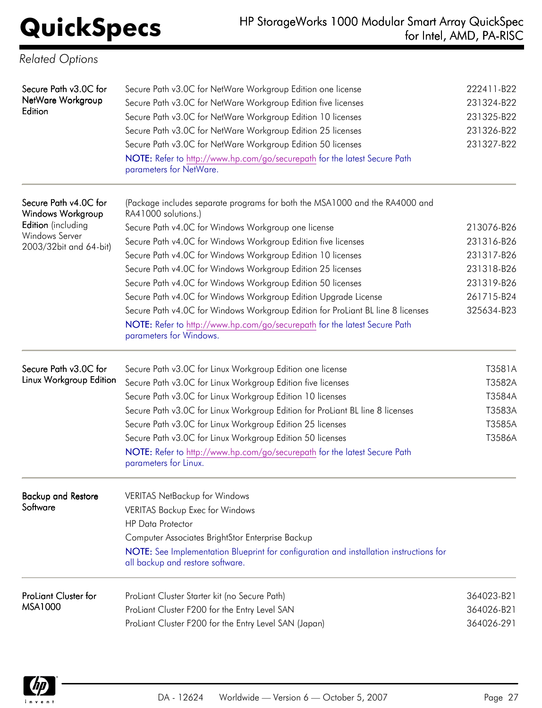| <b>Related Options</b>                                |                                                                                                                                                                                                                                                            |                                                      |
|-------------------------------------------------------|------------------------------------------------------------------------------------------------------------------------------------------------------------------------------------------------------------------------------------------------------------|------------------------------------------------------|
| Secure Path v3.0C for<br>NetWare Workgroup<br>Edition | Secure Path v3.0C for NetWare Workgroup Edition one license<br>Secure Path v3.0C for NetWare Workgroup Edition five licenses<br>Secure Path v3.0C for NetWare Workgroup Edition 10 licenses<br>Secure Path v3.0C for NetWare Workgroup Edition 25 licenses | 222411-B22<br>231324-B22<br>231325-B22<br>231326-B22 |
|                                                       | Secure Path v3.0C for NetWare Workgroup Edition 50 licenses<br>NOTE: Refer to http://www.hp.com/go/securepath for the latest Secure Path<br>parameters for NetWare.                                                                                        | 231327-B22                                           |
| Secure Path v4.0C for<br><b>Windows Workgroup</b>     | (Package includes separate programs for both the MSA1000 and the RA4000 and<br>RA41000 solutions.)                                                                                                                                                         |                                                      |
| Edition (including                                    | Secure Path v4.0C for Windows Workgroup one license                                                                                                                                                                                                        | 213076-B26                                           |
| Windows Server<br>2003/32bit and 64-bit)              | Secure Path v4.0C for Windows Workgroup Edition five licenses                                                                                                                                                                                              | 231316-B26                                           |
|                                                       | Secure Path v4.0C for Windows Workgroup Edition 10 licenses                                                                                                                                                                                                | 231317-B26                                           |
|                                                       | Secure Path v4.0C for Windows Workgroup Edition 25 licenses                                                                                                                                                                                                | 231318-B26                                           |
|                                                       | Secure Path v4.0C for Windows Workgroup Edition 50 licenses                                                                                                                                                                                                | 231319-B26                                           |
|                                                       | Secure Path v4.0C for Windows Workgroup Edition Upgrade License                                                                                                                                                                                            | 261715-B24                                           |
|                                                       | Secure Path v4.0C for Windows Workgroup Edition for ProLiant BL line 8 licenses<br>NOTE: Refer to http://www.hp.com/go/securepath for the latest Secure Path<br>parameters for Windows.                                                                    | 325634-B23                                           |
| Secure Path v3.0C for                                 | Secure Path v3.0C for Linux Workgroup Edition one license                                                                                                                                                                                                  | T3581A                                               |
| Linux Workgroup Edition                               | Secure Path v3.0C for Linux Workgroup Edition five licenses                                                                                                                                                                                                | T3582A                                               |
|                                                       | Secure Path v3.0C for Linux Workgroup Edition 10 licenses                                                                                                                                                                                                  | T3584A                                               |
|                                                       | Secure Path v3.0C for Linux Workgroup Edition for ProLiant BL line 8 licenses                                                                                                                                                                              | T3583A                                               |
|                                                       | Secure Path v3.0C for Linux Workgroup Edition 25 licenses                                                                                                                                                                                                  | T3585A                                               |
|                                                       | Secure Path v3.0C for Linux Workgroup Edition 50 licenses                                                                                                                                                                                                  | T3586A                                               |
|                                                       | NOTE: Refer to http://www.hp.com/go/securepath for the latest Secure Path<br>parameters for Linux.                                                                                                                                                         |                                                      |
| <b>Backup and Restore</b>                             | <b>VERITAS NetBackup for Windows</b>                                                                                                                                                                                                                       |                                                      |
| Software                                              | VERITAS Backup Exec for Windows                                                                                                                                                                                                                            |                                                      |
|                                                       | <b>HP Data Protector</b>                                                                                                                                                                                                                                   |                                                      |
|                                                       | Computer Associates BrightStor Enterprise Backup                                                                                                                                                                                                           |                                                      |
|                                                       | NOTE: See Implementation Blueprint for configuration and installation instructions for<br>all backup and restore software.                                                                                                                                 |                                                      |
| ProLiant Cluster for                                  | ProLiant Cluster Starter kit (no Secure Path)                                                                                                                                                                                                              | 364023-B21                                           |
| MSA1000                                               | ProLiant Cluster F200 for the Entry Level SAN                                                                                                                                                                                                              | 364026-B21                                           |
|                                                       | ProLiant Cluster F200 for the Entry Level SAN (Japan)                                                                                                                                                                                                      | 364026-291                                           |

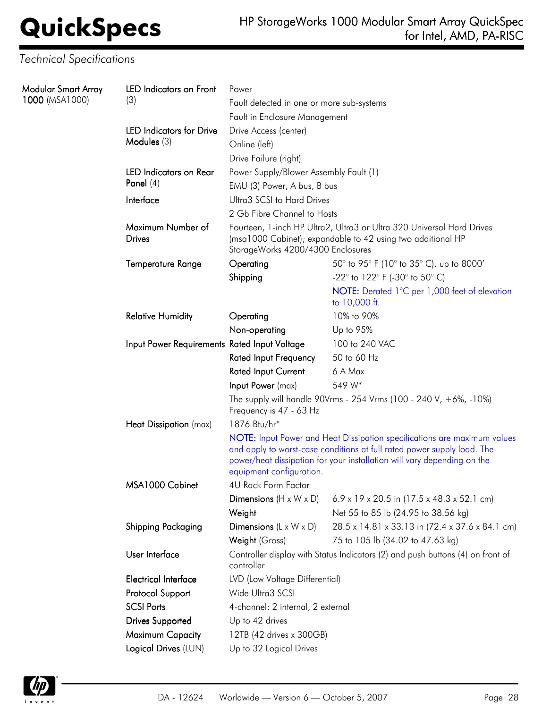# *Technical Specifications*

| Modular Smart Array<br>1000 (MSA1000) | LED Indicators on Front<br>(3)               | Power<br>Fault detected in one or more sub-systems                                                                                                                                                                                                         |                                                                       |  |  |
|---------------------------------------|----------------------------------------------|------------------------------------------------------------------------------------------------------------------------------------------------------------------------------------------------------------------------------------------------------------|-----------------------------------------------------------------------|--|--|
|                                       |                                              | Fault in Enclosure Management                                                                                                                                                                                                                              |                                                                       |  |  |
|                                       | <b>LED Indicators for Drive</b>              | Drive Access (center)                                                                                                                                                                                                                                      |                                                                       |  |  |
|                                       | Modules (3)                                  | Online (left)                                                                                                                                                                                                                                              |                                                                       |  |  |
|                                       |                                              | Drive Failure (right)                                                                                                                                                                                                                                      |                                                                       |  |  |
|                                       |                                              | <b>LED</b> Indicators on Rear<br>Power Supply/Blower Assembly Fault (1)                                                                                                                                                                                    |                                                                       |  |  |
|                                       | Panel $(4)$                                  | EMU (3) Power, A bus, B bus                                                                                                                                                                                                                                |                                                                       |  |  |
|                                       | Interface                                    | Ultra3 SCSI to Hard Drives                                                                                                                                                                                                                                 |                                                                       |  |  |
|                                       |                                              | 2 Gb Fibre Channel to Hosts                                                                                                                                                                                                                                |                                                                       |  |  |
|                                       | Maximum Number of<br><b>Drives</b>           | Fourteen, 1-inch HP Ultra2, Ultra3 or Ultra 320 Universal Hard Drives<br>(msa1000 Cabinet); expandable to 42 using two additional HP<br>StorageWorks 4200/4300 Enclosures                                                                                  |                                                                       |  |  |
|                                       | Temperature Range                            | Operating                                                                                                                                                                                                                                                  | 50° to 95° F (10° to 35° C), up to 8000'                              |  |  |
|                                       |                                              | Shipping                                                                                                                                                                                                                                                   | $-22^{\circ}$ to 122 $^{\circ}$ F (-30 $^{\circ}$ to 50 $^{\circ}$ C) |  |  |
|                                       |                                              |                                                                                                                                                                                                                                                            | NOTE: Derated 1°C per 1,000 feet of elevation<br>to 10,000 ft.        |  |  |
|                                       | <b>Relative Humidity</b>                     | Operating                                                                                                                                                                                                                                                  | 10% to 90%                                                            |  |  |
|                                       |                                              | Non-operating                                                                                                                                                                                                                                              | Up to 95%                                                             |  |  |
|                                       | Input Power Requirements Rated Input Voltage |                                                                                                                                                                                                                                                            | 100 to 240 VAC                                                        |  |  |
|                                       |                                              | <b>Rated Input Frequency</b>                                                                                                                                                                                                                               | 50 to 60 Hz                                                           |  |  |
|                                       |                                              | <b>Rated Input Current</b>                                                                                                                                                                                                                                 | 6 A Max                                                               |  |  |
|                                       |                                              | Input Power (max)                                                                                                                                                                                                                                          | 549 W*                                                                |  |  |
|                                       |                                              | Frequency is 47 - 63 Hz                                                                                                                                                                                                                                    | The supply will handle 90Vrms - 254 Vrms (100 - 240 V, +6%, -10%)     |  |  |
|                                       | Heat Dissipation (max)                       | 1876 Btu/hr*                                                                                                                                                                                                                                               |                                                                       |  |  |
|                                       |                                              | NOTE: Input Power and Heat Dissipation specifications are maximum values<br>and apply to worst-case conditions at full rated power supply load. The<br>power/heat dissipation for your installation will vary depending on the<br>equipment configuration. |                                                                       |  |  |
|                                       | MSA1000 Cabinet                              | 4U Rack Form Factor                                                                                                                                                                                                                                        |                                                                       |  |  |
|                                       |                                              | Dimensions $(H \times W \times D)$                                                                                                                                                                                                                         | 6.9 x 19 x 20.5 in (17.5 x 48.3 x 52.1 cm)                            |  |  |
|                                       |                                              | Weight                                                                                                                                                                                                                                                     | Net 55 to 85 lb (24.95 to 38.56 kg)                                   |  |  |
|                                       | Shipping Packaging                           | Dimensions $(L \times W \times D)$                                                                                                                                                                                                                         | 28.5 x 14.81 x 33.13 in (72.4 x 37.6 x 84.1 cm)                       |  |  |
|                                       |                                              | Weight (Gross)                                                                                                                                                                                                                                             | 75 to 105 lb (34.02 to 47.63 kg)                                      |  |  |
|                                       | User Interface                               | Controller display with Status Indicators (2) and push buttons (4) on front of<br>controller                                                                                                                                                               |                                                                       |  |  |
|                                       | <b>Electrical Interface</b>                  | LVD (Low Voltage Differential)                                                                                                                                                                                                                             |                                                                       |  |  |
|                                       | Protocol Support                             | Wide Ultra3 SCSI                                                                                                                                                                                                                                           |                                                                       |  |  |
|                                       | <b>SCSI Ports</b>                            | 4-channel: 2 internal, 2 external                                                                                                                                                                                                                          |                                                                       |  |  |
|                                       | <b>Drives Supported</b>                      | Up to 42 drives                                                                                                                                                                                                                                            |                                                                       |  |  |
|                                       | Maximum Capacity                             | 12TB (42 drives x 300GB)                                                                                                                                                                                                                                   |                                                                       |  |  |
|                                       | Logical Drives (LUN)                         | Up to 32 Logical Drives                                                                                                                                                                                                                                    |                                                                       |  |  |

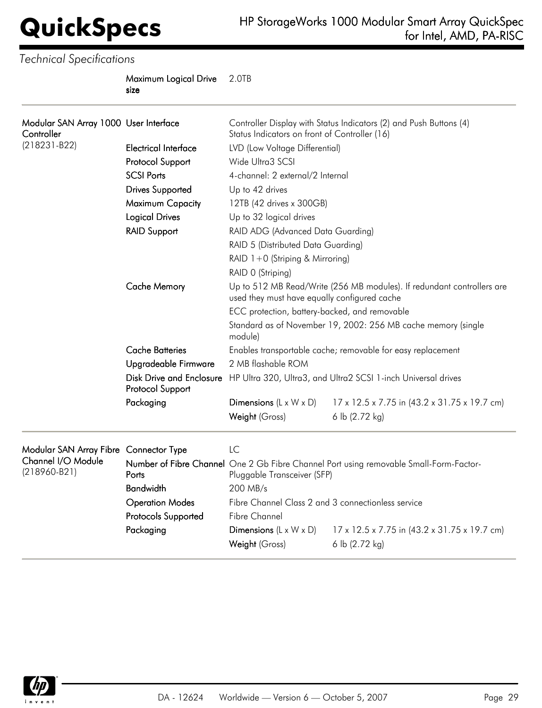*Technical Specifications*

Maximum Logical Drive size 2.0TB

| Modular SAN Array 1000 User Interface<br>Controller |                                                     | Controller Display with Status Indicators (2) and Push Buttons (4)<br>Status Indicators on front of Controller (16)                                                                                                                                                                                                |                                              |  |  |
|-----------------------------------------------------|-----------------------------------------------------|--------------------------------------------------------------------------------------------------------------------------------------------------------------------------------------------------------------------------------------------------------------------------------------------------------------------|----------------------------------------------|--|--|
| $(218231 - B22)$                                    | <b>Electrical Interface</b>                         | LVD (Low Voltage Differential)                                                                                                                                                                                                                                                                                     |                                              |  |  |
|                                                     | Protocol Support                                    | Wide Ultra3 SCSI                                                                                                                                                                                                                                                                                                   |                                              |  |  |
|                                                     | <b>SCSI Ports</b>                                   | 4-channel: 2 external/2 Internal                                                                                                                                                                                                                                                                                   |                                              |  |  |
|                                                     | <b>Drives Supported</b>                             | Up to 42 drives                                                                                                                                                                                                                                                                                                    |                                              |  |  |
|                                                     | Maximum Capacity                                    | 12TB (42 drives x 300GB)                                                                                                                                                                                                                                                                                           |                                              |  |  |
|                                                     | <b>Logical Drives</b>                               | Up to 32 logical drives                                                                                                                                                                                                                                                                                            |                                              |  |  |
|                                                     | <b>RAID Support</b>                                 | RAID ADG (Advanced Data Guarding)                                                                                                                                                                                                                                                                                  |                                              |  |  |
|                                                     |                                                     | RAID 5 (Distributed Data Guarding)<br>RAID 1+0 (Striping & Mirroring)<br>RAID 0 (Striping)                                                                                                                                                                                                                         |                                              |  |  |
|                                                     |                                                     |                                                                                                                                                                                                                                                                                                                    |                                              |  |  |
|                                                     |                                                     |                                                                                                                                                                                                                                                                                                                    |                                              |  |  |
|                                                     | <b>Cache Memory</b>                                 | Up to 512 MB Read/Write (256 MB modules). If redundant controllers are<br>used they must have equally configured cache<br>ECC protection, battery-backed, and removable<br>Standard as of November 19, 2002: 256 MB cache memory (single<br>module)<br>Enables transportable cache; removable for easy replacement |                                              |  |  |
|                                                     |                                                     |                                                                                                                                                                                                                                                                                                                    |                                              |  |  |
|                                                     |                                                     |                                                                                                                                                                                                                                                                                                                    |                                              |  |  |
|                                                     | <b>Cache Batteries</b>                              |                                                                                                                                                                                                                                                                                                                    |                                              |  |  |
|                                                     | Upgradeable Firmware                                | 2 MB flashable ROM                                                                                                                                                                                                                                                                                                 |                                              |  |  |
|                                                     | <b>Disk Drive and Enclosure</b><br>Protocol Support | HP Ultra 320, Ultra3, and Ultra2 SCSI 1-inch Universal drives                                                                                                                                                                                                                                                      |                                              |  |  |
|                                                     | Packaging                                           | Dimensions $(L \times W \times D)$                                                                                                                                                                                                                                                                                 | 17 x 12.5 x 7.75 in (43.2 x 31.75 x 19.7 cm) |  |  |
|                                                     |                                                     | Weight (Gross)                                                                                                                                                                                                                                                                                                     | 6 lb (2.72 kg)                               |  |  |
| Modular SAN Array Fibre Connector Type              |                                                     | LC                                                                                                                                                                                                                                                                                                                 |                                              |  |  |
| Channel I/O Module<br>$(218960-B21)$                | Ports                                               | Number of Fibre Channel One 2 Gb Fibre Channel Port using removable Small-Form-Factor-<br>Pluggable Transceiver (SFP)                                                                                                                                                                                              |                                              |  |  |
|                                                     | <b>Bandwidth</b>                                    | 200 MB/s                                                                                                                                                                                                                                                                                                           |                                              |  |  |
|                                                     | <b>Operation Modes</b>                              | Fibre Channel Class 2 and 3 connectionless service                                                                                                                                                                                                                                                                 |                                              |  |  |
|                                                     | Protocols Supported                                 | <b>Fibre Channel</b>                                                                                                                                                                                                                                                                                               |                                              |  |  |
|                                                     | Packaging                                           | Dimensions $(L \times W \times D)$                                                                                                                                                                                                                                                                                 | 17 x 12.5 x 7.75 in (43.2 x 31.75 x 19.7 cm) |  |  |
|                                                     |                                                     | Weight (Gross)                                                                                                                                                                                                                                                                                                     | 6 lb (2.72 kg)                               |  |  |

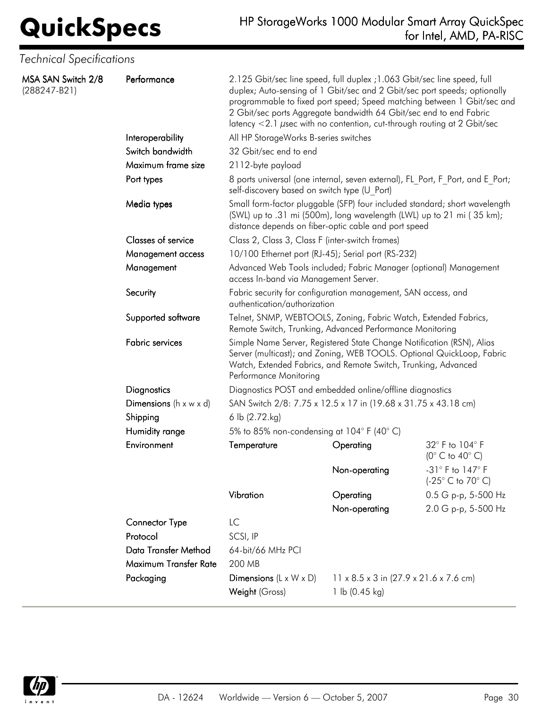## **QuickSpecs** HP StorageWorks 1000 Modular Smart Array QuickSpec<br>for Intel, AMD, PA-RISC for Intel, AMD, PA-RISC

| <b>Technical Specifications</b>      |                                             |                                                                                                                                                                                                                                                                                                                                                                                           |                                                    |                                                       |  |
|--------------------------------------|---------------------------------------------|-------------------------------------------------------------------------------------------------------------------------------------------------------------------------------------------------------------------------------------------------------------------------------------------------------------------------------------------------------------------------------------------|----------------------------------------------------|-------------------------------------------------------|--|
| MSA SAN Switch 2/8<br>$(288247-B21)$ | Performance                                 | 2.125 Gbit/sec line speed, full duplex ; 1.063 Gbit/sec line speed, full<br>duplex; Auto-sensing of 1 Gbit/sec and 2 Gbit/sec port speeds; optionally<br>programmable to fixed port speed; Speed matching between 1 Gbit/sec and<br>2 Gbit/sec ports Aggregate bandwidth 64 Gbit/sec end to end Fabric<br>latency $<$ 2.1 $\mu$ sec with no contention, cut-through routing at 2 Gbit/sec |                                                    |                                                       |  |
|                                      | Interoperability                            | All HP StorageWorks B-series switches                                                                                                                                                                                                                                                                                                                                                     |                                                    |                                                       |  |
|                                      | Switch bandwidth                            | 32 Gbit/sec end to end                                                                                                                                                                                                                                                                                                                                                                    |                                                    |                                                       |  |
|                                      | Maximum frame size                          | 2112-byte payload                                                                                                                                                                                                                                                                                                                                                                         |                                                    |                                                       |  |
|                                      | Port types                                  | 8 ports universal (one internal, seven external), FL_Port, F_Port, and E_Port;<br>self-discovery based on switch type (U Port)                                                                                                                                                                                                                                                            |                                                    |                                                       |  |
|                                      | Media types                                 | Small form-factor pluggable (SFP) four included standard; short wavelength<br>(SWL) up to .31 mi (500m), long wavelength (LWL) up to 21 mi (35 km);<br>distance depends on fiber-optic cable and port speed                                                                                                                                                                               |                                                    |                                                       |  |
|                                      | Classes of service                          | Class 2, Class 3, Class F (inter-switch frames)                                                                                                                                                                                                                                                                                                                                           |                                                    |                                                       |  |
|                                      | Management access                           | 10/100 Ethernet port (RJ-45); Serial port (RS-232)                                                                                                                                                                                                                                                                                                                                        |                                                    |                                                       |  |
|                                      | Management                                  | Advanced Web Tools included; Fabric Manager (optional) Management<br>access In-band via Management Server.                                                                                                                                                                                                                                                                                |                                                    |                                                       |  |
|                                      | Security                                    | Fabric security for configuration management, SAN access, and<br>authentication/authorization                                                                                                                                                                                                                                                                                             |                                                    |                                                       |  |
|                                      | Supported software                          | Telnet, SNMP, WEBTOOLS, Zoning, Fabric Watch, Extended Fabrics,<br>Remote Switch, Trunking, Advanced Performance Monitoring                                                                                                                                                                                                                                                               |                                                    |                                                       |  |
|                                      | <b>Fabric services</b>                      | Simple Name Server, Registered State Change Notification (RSN), Alias<br>Server (multicast); and Zoning, WEB TOOLS. Optional QuickLoop, Fabric<br>Watch, Extended Fabrics, and Remote Switch, Trunking, Advanced<br>Performance Monitoring                                                                                                                                                |                                                    |                                                       |  |
|                                      | Diagnostics                                 | Diagnostics POST and embedded online/offline diagnostics                                                                                                                                                                                                                                                                                                                                  |                                                    |                                                       |  |
|                                      | <b>Dimensions</b> ( $h \times w \times d$ ) | SAN Switch 2/8: 7.75 x 12.5 x 17 in (19.68 x 31.75 x 43.18 cm)                                                                                                                                                                                                                                                                                                                            |                                                    |                                                       |  |
|                                      | Shipping                                    | 6 lb (2.72.kg)                                                                                                                                                                                                                                                                                                                                                                            |                                                    |                                                       |  |
|                                      | Humidity range                              | 5% to 85% non-condensing at $104^{\circ}$ F (40° C)                                                                                                                                                                                                                                                                                                                                       |                                                    |                                                       |  |
|                                      | Environment                                 | Temperature                                                                                                                                                                                                                                                                                                                                                                               | Operating                                          | 32° F to 104° F<br>$(0^{\circ}$ C to 40 $^{\circ}$ C) |  |
|                                      |                                             |                                                                                                                                                                                                                                                                                                                                                                                           | Non-operating                                      | -31° F to 147° F<br>(-25° C to 70° C)                 |  |
|                                      |                                             | Vibration                                                                                                                                                                                                                                                                                                                                                                                 | Operating                                          | 0.5 G p-p, 5-500 Hz                                   |  |
|                                      |                                             |                                                                                                                                                                                                                                                                                                                                                                                           | Non-operating                                      | 2.0 G p-p, 5-500 Hz                                   |  |
|                                      | Connector Type                              | LC                                                                                                                                                                                                                                                                                                                                                                                        |                                                    |                                                       |  |
|                                      | Protocol                                    | SCSI, IP                                                                                                                                                                                                                                                                                                                                                                                  |                                                    |                                                       |  |
|                                      | Data Transfer Method                        | 64-bit/66 MHz PCI                                                                                                                                                                                                                                                                                                                                                                         |                                                    |                                                       |  |
|                                      | Maximum Transfer Rate                       | 200 MB                                                                                                                                                                                                                                                                                                                                                                                    |                                                    |                                                       |  |
|                                      | Packaging                                   | Dimensions $(L \times W \times D)$                                                                                                                                                                                                                                                                                                                                                        | $11 \times 8.5 \times 3$ in (27.9 x 21.6 x 7.6 cm) |                                                       |  |
|                                      |                                             | Weight (Gross)                                                                                                                                                                                                                                                                                                                                                                            | 1 lb $(0.45 \text{ kg})$                           |                                                       |  |